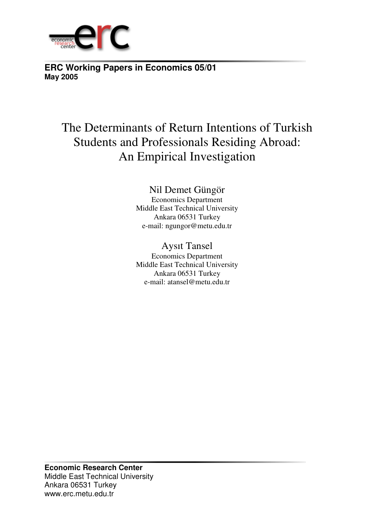

**ERC Working Papers in Economics 05/01 May 2005**

# The Determinants of Return Intentions of Turkish Students and Professionals Residing Abroad: An Empirical Investigation

# Nil Demet Güngör Economics Department Middle East Technical University Ankara 06531 Turkey e-mail: ngungor@metu.edu.tr

# Aysıt Tansel Economics Department Middle East Technical University Ankara 06531 Turkey e-mail: atansel@metu.edu.tr

**Economic Research Center** Middle East Technical University Ankara 06531 Turkey www.erc.metu.edu.tr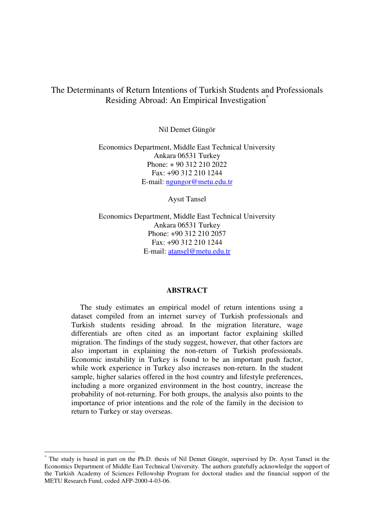# The Determinants of Return Intentions of Turkish Students and Professionals Residing Abroad: An Empirical Investigation®

Nil Demet Güngör

Economics Department, Middle East Technical University Ankara 06531 Turkey Phone: + 90 312 210 2022 Fax: +90 312 210 1244 E-mail: ngungor@metu.edu.tr

Aysıt Tansel

Economics Department, Middle East Technical University Ankara 06531 Turkey Phone: +90 312 210 2057 Fax: +90 312 210 1244 E-mail: atansel@metu.edu.tr

#### **ABSTRACT**

The study estimates an empirical model of return intentions using a dataset compiled from an internet survey of Turkish professionals and Turkish students residing abroad. In the migration literature, wage differentials are often cited as an important factor explaining skilled migration. The findings of the study suggest, however, that other factors are also important in explaining the non-return of Turkish professionals. Economic instability in Turkey is found to be an important push factor, while work experience in Turkey also increases non-return. In the student sample, higher salaries offered in the host country and lifestyle preferences, including a more organized environment in the host country, increase the probability of not-returning. For both groups, the analysis also points to the importance of prior intentions and the role of the family in the decision to return to Turkey or stay overseas.

<sup>\*</sup> The study is based in part on the Ph.D. thesis of Nil Demet Güngör, supervised by Dr. Aysıt Tansel in the Economics Department of Middle East Technical University. The authors gratefully acknowledge the support of the Turkish Academy of Sciences Fellowship Program for doctoral studies and the financial support of the METU Research Fund, coded AFP-2000-4-03-06.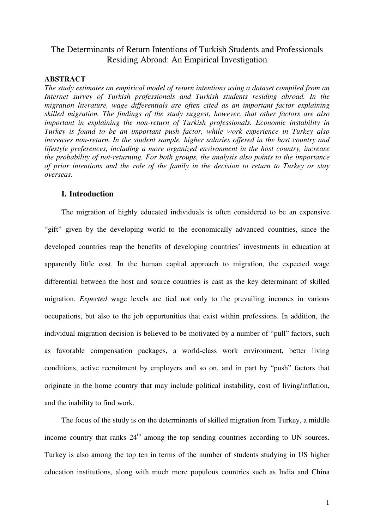# The Determinants of Return Intentions of Turkish Students and Professionals Residing Abroad: An Empirical Investigation

#### **ABSTRACT**

*The study estimates an empirical model of return intentions using a dataset compiled from an Internet survey of Turkish professionals and Turkish students residing abroad. In the migration literature, wage differentials are often cited as an important factor explaining skilled migration. The findings of the study suggest, however, that other factors are also important in explaining the non-return of Turkish professionals. Economic instability in Turkey is found to be an important push factor, while work experience in Turkey also increases non-return. In the student sample, higher salaries offered in the host country and lifestyle preferences, including a more organized environment in the host country, increase the probability of not-returning. For both groups, the analysis also points to the importance of prior intentions and the role of the family in the decision to return to Turkey or stay overseas.*

### **I. Introduction**

The migration of highly educated individuals is often considered to be an expensive "gift" given by the developing world to the economically advanced countries, since the developed countries reap the benefits of developing countries' investments in education at apparently little cost. In the human capital approach to migration, the expected wage differential between the host and source countries is cast as the key determinant of skilled migration. *Expected* wage levels are tied not only to the prevailing incomes in various occupations, but also to the job opportunities that exist within professions. In addition, the individual migration decision is believed to be motivated by a number of "pull" factors, such as favorable compensation packages, a world-class work environment, better living conditions, active recruitment by employers and so on, and in part by "push" factors that originate in the home country that may include political instability, cost of living/inflation, and the inability to find work.

The focus of the study is on the determinants of skilled migration from Turkey, a middle income country that ranks  $24<sup>th</sup>$  among the top sending countries according to UN sources. Turkey is also among the top ten in terms of the number of students studying in US higher education institutions, along with much more populous countries such as India and China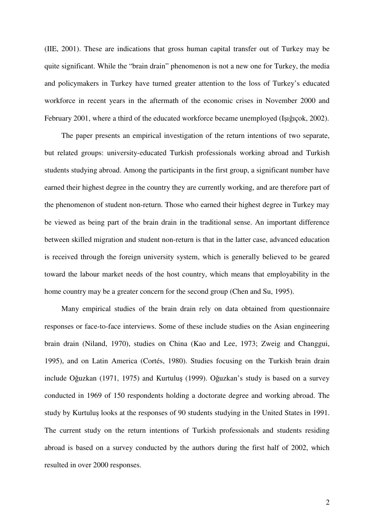(IIE, 2001). These are indications that gross human capital transfer out of Turkey may be quite significant. While the "brain drain" phenomenon is not a new one for Turkey, the media and policymakers in Turkey have turned greater attention to the loss of Turkey's educated workforce in recent years in the aftermath of the economic crises in November 2000 and February 2001, where a third of the educated workforce became unemployed (Işığıçok, 2002).

The paper presents an empirical investigation of the return intentions of two separate, but related groups: university-educated Turkish professionals working abroad and Turkish students studying abroad. Among the participants in the first group, a significant number have earned their highest degree in the country they are currently working, and are therefore part of the phenomenon of student non-return. Those who earned their highest degree in Turkey may be viewed as being part of the brain drain in the traditional sense. An important difference between skilled migration and student non-return is that in the latter case, advanced education is received through the foreign university system, which is generally believed to be geared toward the labour market needs of the host country, which means that employability in the home country may be a greater concern for the second group (Chen and Su, 1995).

Many empirical studies of the brain drain rely on data obtained from questionnaire responses or face-to-face interviews. Some of these include studies on the Asian engineering brain drain (Niland, 1970), studies on China (Kao and Lee, 1973; Zweig and Changgui, 1995), and on Latin America (Cortés, 1980). Studies focusing on the Turkish brain drain include Oğuzkan (1971, 1975) and Kurtuluş (1999). Oğuzkan's study is based on a survey conducted in 1969 of 150 respondents holding a doctorate degree and working abroad. The study by Kurtulus looks at the responses of 90 students studying in the United States in 1991. The current study on the return intentions of Turkish professionals and students residing abroad is based on a survey conducted by the authors during the first half of 2002, which resulted in over 2000 responses.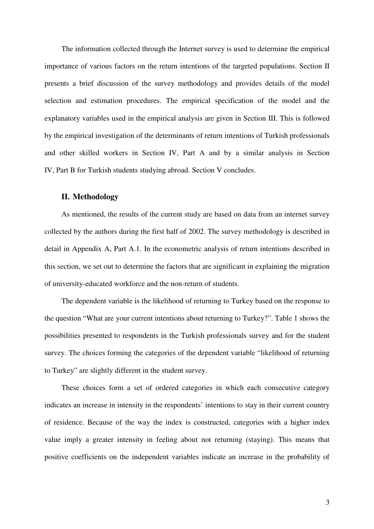The information collected through the Internet survey is used to determine the empirical importance of various factors on the return intentions of the targeted populations. Section II presents a brief discussion of the survey methodology and provides details of the model selection and estimation procedures. The empirical specification of the model and the explanatory variables used in the empirical analysis are given in Section III. This is followed by the empirical investigation of the determinants of return intentions of Turkish professionals and other skilled workers in Section IV, Part A and by a similar analysis in Section IV, Part B for Turkish students studying abroad. Section V concludes.

# **II. Methodology**

As mentioned, the results of the current study are based on data from an internet survey collected by the authors during the first half of 2002. The survey methodology is described in detail in Appendix A, Part A.1. In the econometric analysis of return intentions described in this section, we set out to determine the factors that are significant in explaining the migration of university-educated workforce and the non-return of students.

The dependent variable is the likelihood of returning to Turkey based on the response to the question "What are your current intentions about returning to Turkey?". Table 1 shows the possibilities presented to respondents in the Turkish professionals survey and for the student survey. The choices forming the categories of the dependent variable "likelihood of returning to Turkey" are slightly different in the student survey.

These choices form a set of ordered categories in which each consecutive category indicates an increase in intensity in the respondents' intentions to stay in their current country of residence. Because of the way the index is constructed, categories with a higher index value imply a greater intensity in feeling about not returning (staying). This means that positive coefficients on the independent variables indicate an increase in the probability of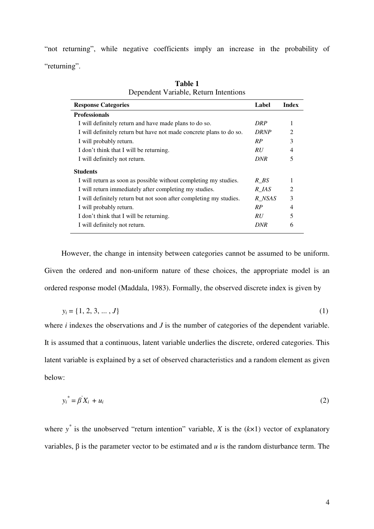"not returning", while negative coefficients imply an increase in the probability of "returning".

| <b>Response Categories</b>                                          | Label       | Index          |
|---------------------------------------------------------------------|-------------|----------------|
| <b>Professionals</b>                                                |             |                |
| I will definitely return and have made plans to do so.              | DRP         | 1              |
| I will definitely return but have not made concrete plans to do so. | <b>DRNP</b> | 2              |
| I will probably return.                                             | RP          | 3              |
| I don't think that I will be returning.                             | RU          | 4              |
| I will definitely not return.                                       | <b>DNR</b>  | 5              |
| <b>Students</b>                                                     |             |                |
| I will return as soon as possible without completing my studies.    | R BS        | 1              |
| I will return immediately after completing my studies.              | R IAS       | $\mathfrak{D}$ |
| I will definitely return but not soon after completing my studies.  | R NSAS      | 3              |
| I will probably return.                                             | RP          | 4              |
| I don't think that I will be returning.                             | RU          | 5              |
| I will definitely not return.                                       | DNR         | 6              |

**Table 1** Dependent Variable, Return Intentions

However, the change in intensity between categories cannot be assumed to be uniform. Given the ordered and non-uniform nature of these choices, the appropriate model is an ordered response model (Maddala, 1983). Formally, the observed discrete index is given by

$$
y_i = \{1, 2, 3, \dots, J\} \tag{1}
$$

where *i* indexes the observations and *J* is the number of categories of the dependent variable. It is assumed that a continuous, latent variable underlies the discrete, ordered categories. This latent variable is explained by a set of observed characteristics and a random element as given below:

$$
y_i^* = \beta' X_i + u_i \tag{2}
$$

where  $y^*$  is the unobserved "return intention" variable, *X* is the  $(k \times 1)$  vector of explanatory variables,  $\beta$  is the parameter vector to be estimated and *u* is the random disturbance term. The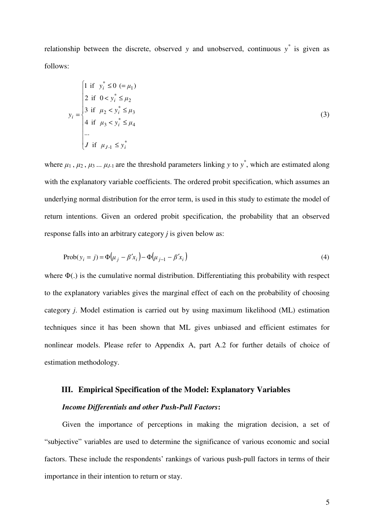relationship between the discrete, observed *y* and unobserved, continuous *y \** is given as follows:

$$
y_{i} =\begin{cases} 1 & \text{if } y_{i}^{*} \leq 0 \ (=\mu_{1}) \\ 2 & \text{if } 0 < y_{i}^{*} \leq \mu_{2} \\ 3 & \text{if } \mu_{2} < y_{i}^{*} \leq \mu_{3} \\ 4 & \text{if } \mu_{3} < y_{i}^{*} \leq \mu_{4} \\ \dots \\ J & \text{if } \mu_{J-1} \leq y_{i}^{*} \end{cases} \tag{3}
$$

where  $\mu_1$ ,  $\mu_2$ ,  $\mu_3$ ...  $\mu_{J-1}$  are the threshold parameters linking *y* to *y*<sup>\*</sup>, which are estimated along with the explanatory variable coefficients. The ordered probit specification, which assumes an underlying normal distribution for the error term, is used in this study to estimate the model of return intentions. Given an ordered probit specification, the probability that an observed response falls into an arbitrary category *j* is given below as:

$$
Prob(y_i = j) = \Phi(\mu_j - \beta' x_i) - \Phi(\mu_{j-1} - \beta' x_i)
$$
\n(4)

where  $\Phi(.)$  is the cumulative normal distribution. Differentiating this probability with respect to the explanatory variables gives the marginal effect of each on the probability of choosing category *j*. Model estimation is carried out by using maximum likelihood (ML) estimation techniques since it has been shown that ML gives unbiased and efficient estimates for nonlinear models. Please refer to Appendix A, part A.2 for further details of choice of estimation methodology.

#### **III. Empirical Specification of the Model: Explanatory Variables**

#### *Income Differentials and other Push-Pull Factors***:**

Given the importance of perceptions in making the migration decision, a set of "subjective" variables are used to determine the significance of various economic and social factors. These include the respondents' rankings of various push-pull factors in terms of their importance in their intention to return or stay.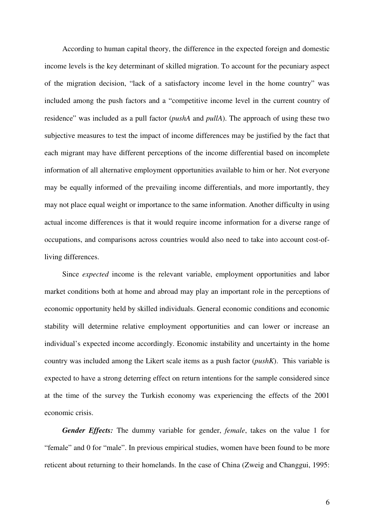According to human capital theory, the difference in the expected foreign and domestic income levels is the key determinant of skilled migration. To account for the pecuniary aspect of the migration decision, "lack of a satisfactory income level in the home country" was included among the push factors and a "competitive income level in the current country of residence" was included as a pull factor (*pushA* and *pullA*). The approach of using these two subjective measures to test the impact of income differences may be justified by the fact that each migrant may have different perceptions of the income differential based on incomplete information of all alternative employment opportunities available to him or her. Not everyone may be equally informed of the prevailing income differentials, and more importantly, they may not place equal weight or importance to the same information. Another difficulty in using actual income differences is that it would require income information for a diverse range of occupations, and comparisons across countries would also need to take into account cost-ofliving differences.

Since *expected* income is the relevant variable, employment opportunities and labor market conditions both at home and abroad may play an important role in the perceptions of economic opportunity held by skilled individuals. General economic conditions and economic stability will determine relative employment opportunities and can lower or increase an individual's expected income accordingly. Economic instability and uncertainty in the home country was included among the Likert scale items as a push factor (*pushK*). This variable is expected to have a strong deterring effect on return intentions for the sample considered since at the time of the survey the Turkish economy was experiencing the effects of the 2001 economic crisis.

*Gender Effects:* The dummy variable for gender, *female*, takes on the value 1 for "female" and 0 for "male". In previous empirical studies, women have been found to be more reticent about returning to their homelands. In the case of China (Zweig and Changgui, 1995: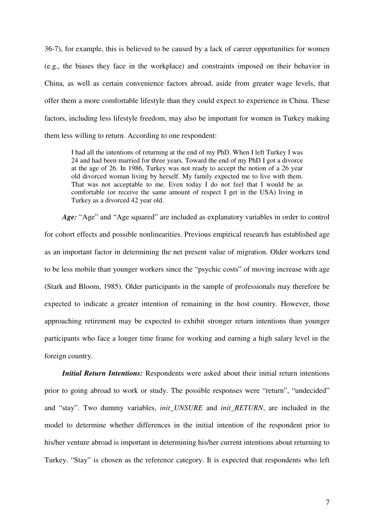36-7), for example, this is believed to be caused by a lack of career opportunities for women (e.g., the biases they face in the workplace) and constraints imposed on their behavior in China, as well as certain convenience factors abroad, aside from greater wage levels, that offer them a more comfortable lifestyle than they could expect to experience in China. These factors, including less lifestyle freedom, may also be important for women in Turkey making them less willing to return. According to one respondent:

I had all the intentions of returning at the end of my PhD. When I left Turkey I was 24 and had been married for three years. Toward the end of my PhD I got a divorce at the age of 26. In 1986, Turkey was not ready to accept the notion of a 26 year old divorced woman living by herself. My family expected me to live with them. That was not acceptable to me. Even today I do not feel that I would be as comfortable (or receive the same amount of respect I get in the USA) living in Turkey as a divorced 42 year old.

Age: "Age" and "Age squared" are included as explanatory variables in order to control for cohort effects and possible nonlinearities. Previous empirical research has established age as an important factor in determining the net present value of migration. Older workers tend to be less mobile than younger workers since the "psychic costs" of moving increase with age (Stark and Bloom, 1985). Older participants in the sample of professionals may therefore be expected to indicate a greater intention of remaining in the host country. However, those approaching retirement may be expected to exhibit stronger return intentions than younger participants who face a longer time frame for working and earning a high salary level in the foreign country.

*Initial Return Intentions:* Respondents were asked about their initial return intentions prior to going abroad to work or study. The possible responses were "return", "undecided" and "stay". Two dummy variables, *init\_UNSURE* and *init\_RETURN*, are included in the model to determine whether differences in the initial intention of the respondent prior to his/her venture abroad is important in determining his/her current intentions about returning to Turkey. "Stay" is chosen as the reference category. It is expected that respondents who left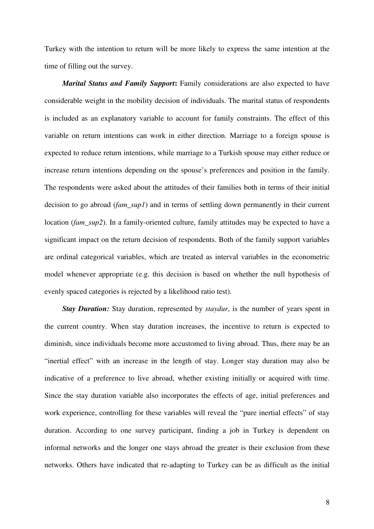Turkey with the intention to return will be more likely to express the same intention at the time of filling out the survey.

*Marital Status and Family Support***:** Family considerations are also expected to have considerable weight in the mobility decision of individuals. The marital status of respondents is included as an explanatory variable to account for family constraints. The effect of this variable on return intentions can work in either direction. Marriage to a foreign spouse is expected to reduce return intentions, while marriage to a Turkish spouse may either reduce or increase return intentions depending on the spouse's preferences and position in the family. The respondents were asked about the attitudes of their families both in terms of their initial decision to go abroad (*fam\_sup1*) and in terms of settling down permanently in their current location (*fam\_sup2*). In a family-oriented culture, family attitudes may be expected to have a significant impact on the return decision of respondents. Both of the family support variables are ordinal categorical variables, which are treated as interval variables in the econometric model whenever appropriate (e.g. this decision is based on whether the null hypothesis of evenly spaced categories is rejected by a likelihood ratio test).

*Stay Duration:* Stay duration, represented by *staydur*, is the number of years spent in the current country. When stay duration increases, the incentive to return is expected to diminish, since individuals become more accustomed to living abroad. Thus, there may be an "inertial effect" with an increase in the length of stay. Longer stay duration may also be indicative of a preference to live abroad, whether existing initially or acquired with time. Since the stay duration variable also incorporates the effects of age, initial preferences and work experience, controlling for these variables will reveal the "pure inertial effects" of stay duration. According to one survey participant, finding a job in Turkey is dependent on informal networks and the longer one stays abroad the greater is their exclusion from these networks. Others have indicated that re-adapting to Turkey can be as difficult as the initial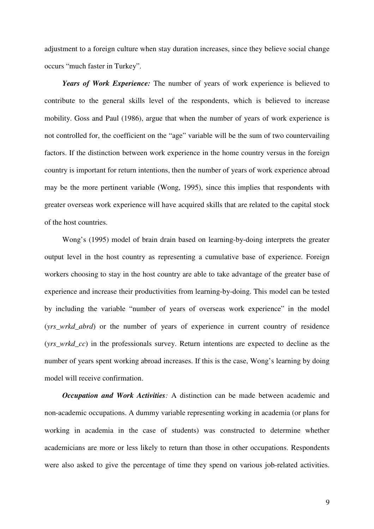adjustment to a foreign culture when stay duration increases, since they believe social change occurs "much faster in Turkey".

*Years of Work Experience:* The number of years of work experience is believed to contribute to the general skills level of the respondents, which is believed to increase mobility. Goss and Paul (1986), argue that when the number of years of work experience is not controlled for, the coefficient on the "age" variable will be the sum of two countervailing factors. If the distinction between work experience in the home country versus in the foreign country is important for return intentions, then the number of years of work experience abroad may be the more pertinent variable (Wong, 1995), since this implies that respondents with greater overseas work experience will have acquired skills that are related to the capital stock of the host countries.

Wong's (1995) model of brain drain based on learning-by-doing interprets the greater output level in the host country as representing a cumulative base of experience. Foreign workers choosing to stay in the host country are able to take advantage of the greater base of experience and increase their productivities from learning-by-doing. This model can be tested by including the variable "number of years of overseas work experience" in the model (*yrs\_wrkd\_abrd*) or the number of years of experience in current country of residence (*yrs\_wrkd\_cc*) in the professionals survey. Return intentions are expected to decline as the number of years spent working abroad increases. If this is the case, Wong's learning by doing model will receive confirmation.

*Occupation and Work Activities:* A distinction can be made between academic and non-academic occupations. A dummy variable representing working in academia (or plans for working in academia in the case of students) was constructed to determine whether academicians are more or less likely to return than those in other occupations. Respondents were also asked to give the percentage of time they spend on various job-related activities.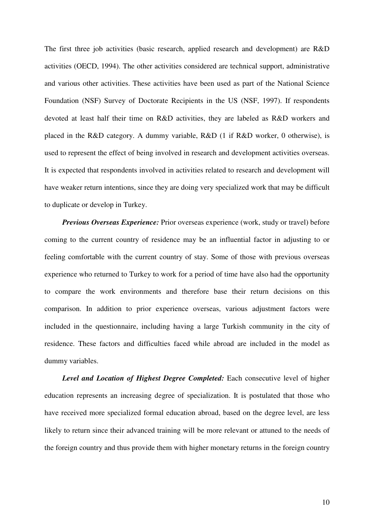The first three job activities (basic research, applied research and development) are R&D activities (OECD, 1994). The other activities considered are technical support, administrative and various other activities. These activities have been used as part of the National Science Foundation (NSF) Survey of Doctorate Recipients in the US (NSF, 1997). If respondents devoted at least half their time on R&D activities, they are labeled as R&D workers and placed in the R&D category. A dummy variable, R&D (1 if R&D worker, 0 otherwise), is used to represent the effect of being involved in research and development activities overseas. It is expected that respondents involved in activities related to research and development will have weaker return intentions, since they are doing very specialized work that may be difficult to duplicate or develop in Turkey.

*Previous Overseas Experience:* Prior overseas experience (work, study or travel) before coming to the current country of residence may be an influential factor in adjusting to or feeling comfortable with the current country of stay. Some of those with previous overseas experience who returned to Turkey to work for a period of time have also had the opportunity to compare the work environments and therefore base their return decisions on this comparison. In addition to prior experience overseas, various adjustment factors were included in the questionnaire, including having a large Turkish community in the city of residence. These factors and difficulties faced while abroad are included in the model as dummy variables.

*Level and Location of Highest Degree Completed:* Each consecutive level of higher education represents an increasing degree of specialization. It is postulated that those who have received more specialized formal education abroad, based on the degree level, are less likely to return since their advanced training will be more relevant or attuned to the needs of the foreign country and thus provide them with higher monetary returns in the foreign country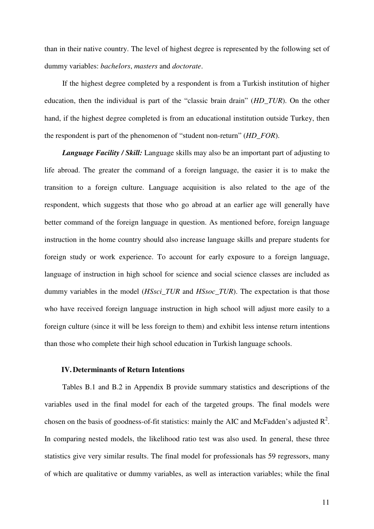than in their native country. The level of highest degree is represented by the following set of dummy variables: *bachelors*, *masters* and *doctorate*.

If the highest degree completed by a respondent is from a Turkish institution of higher education, then the individual is part of the "classic brain drain" (*HD\_TUR*). On the other hand, if the highest degree completed is from an educational institution outside Turkey, then the respondent is part of the phenomenon of "student non-return" (*HD\_FOR*).

*Language Facility / Skill:* Language skills may also be an important part of adjusting to life abroad. The greater the command of a foreign language, the easier it is to make the transition to a foreign culture. Language acquisition is also related to the age of the respondent, which suggests that those who go abroad at an earlier age will generally have better command of the foreign language in question. As mentioned before, foreign language instruction in the home country should also increase language skills and prepare students for foreign study or work experience. To account for early exposure to a foreign language, language of instruction in high school for science and social science classes are included as dummy variables in the model (*HSsci\_TUR* and *HSsoc\_TUR*). The expectation is that those who have received foreign language instruction in high school will adjust more easily to a foreign culture (since it will be less foreign to them) and exhibit less intense return intentions than those who complete their high school education in Turkish language schools.

# **IV.Determinants of Return Intentions**

Tables B.1 and B.2 in Appendix B provide summary statistics and descriptions of the variables used in the final model for each of the targeted groups. The final models were chosen on the basis of goodness-of-fit statistics: mainly the AIC and McFadden's adjusted  $R^2$ . In comparing nested models, the likelihood ratio test was also used. In general, these three statistics give very similar results. The final model for professionals has 59 regressors, many of which are qualitative or dummy variables, as well as interaction variables; while the final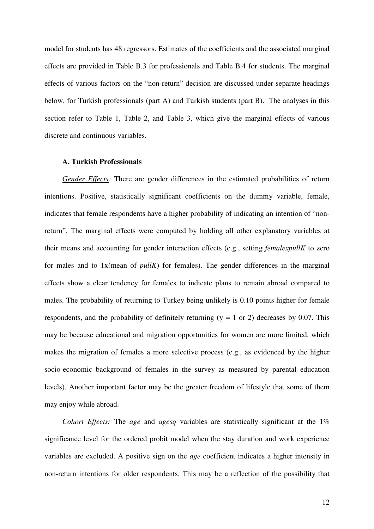model for students has 48 regressors. Estimates of the coefficients and the associated marginal effects are provided in Table B.3 for professionals and Table B.4 for students. The marginal effects of various factors on the "non-return" decision are discussed under separate headings below, for Turkish professionals (part A) and Turkish students (part B). The analyses in this section refer to Table 1, Table 2, and Table 3, which give the marginal effects of various discrete and continuous variables.

### **A. Turkish Professionals**

*Gender Effects:* There are gender differences in the estimated probabilities of return intentions. Positive, statistically significant coefficients on the dummy variable, female, indicates that female respondents have a higher probability of indicating an intention of "nonreturn". The marginal effects were computed by holding all other explanatory variables at their means and accounting for gender interaction effects (e.g., setting *femalexpullK* to zero for males and to 1x(mean of *pullK*) for females). The gender differences in the marginal effects show a clear tendency for females to indicate plans to remain abroad compared to males. The probability of returning to Turkey being unlikely is 0.10 points higher for female respondents, and the probability of definitely returning  $(y = 1 \text{ or } 2)$  decreases by 0.07. This may be because educational and migration opportunities for women are more limited, which makes the migration of females a more selective process (e.g., as evidenced by the higher socio-economic background of females in the survey as measured by parental education levels). Another important factor may be the greater freedom of lifestyle that some of them may enjoy while abroad.

*Cohort Effects:* The *age* and *agesq* variables are statistically significant at the 1% significance level for the ordered probit model when the stay duration and work experience variables are excluded. A positive sign on the *age* coefficient indicates a higher intensity in non-return intentions for older respondents. This may be a reflection of the possibility that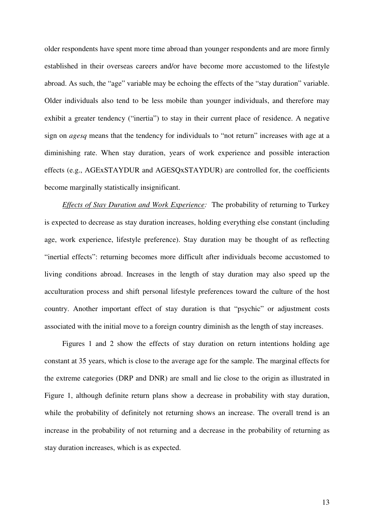older respondents have spent more time abroad than younger respondents and are more firmly established in their overseas careers and/or have become more accustomed to the lifestyle abroad. As such, the "age" variable may be echoing the effects of the "stay duration" variable. Older individuals also tend to be less mobile than younger individuals, and therefore may exhibit a greater tendency ("inertia") to stay in their current place of residence. A negative sign on *agesq* means that the tendency for individuals to "not return" increases with age at a diminishing rate. When stay duration, years of work experience and possible interaction effects (e.g., AGExSTAYDUR and AGESQxSTAYDUR) are controlled for, the coefficients become marginally statistically insignificant.

*Effects of Stay Duration and Work Experience:* The probability of returning to Turkey is expected to decrease as stay duration increases, holding everything else constant (including age, work experience, lifestyle preference). Stay duration may be thought of as reflecting "inertial effects": returning becomes more difficult after individuals become accustomed to living conditions abroad. Increases in the length of stay duration may also speed up the acculturation process and shift personal lifestyle preferences toward the culture of the host country. Another important effect of stay duration is that "psychic" or adjustment costs associated with the initial move to a foreign country diminish as the length of stay increases.

Figures 1 and 2 show the effects of stay duration on return intentions holding age constant at 35 years, which is close to the average age for the sample. The marginal effects for the extreme categories (DRP and DNR) are small and lie close to the origin as illustrated in Figure 1, although definite return plans show a decrease in probability with stay duration, while the probability of definitely not returning shows an increase. The overall trend is an increase in the probability of not returning and a decrease in the probability of returning as stay duration increases, which is as expected.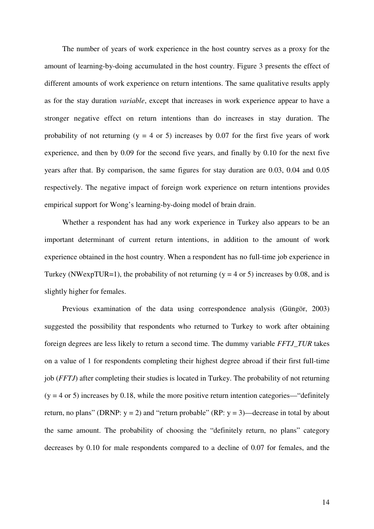The number of years of work experience in the host country serves as a proxy for the amount of learning-by-doing accumulated in the host country. Figure 3 presents the effect of different amounts of work experience on return intentions. The same qualitative results apply as for the stay duration *variable*, except that increases in work experience appear to have a stronger negative effect on return intentions than do increases in stay duration. The probability of not returning ( $y = 4$  or 5) increases by 0.07 for the first five years of work experience, and then by 0.09 for the second five years, and finally by 0.10 for the next five years after that. By comparison, the same figures for stay duration are 0.03, 0.04 and 0.05 respectively. The negative impact of foreign work experience on return intentions provides empirical support for Wong's learning-by-doing model of brain drain.

Whether a respondent has had any work experience in Turkey also appears to be an important determinant of current return intentions, in addition to the amount of work experience obtained in the host country. When a respondent has no full-time job experience in Turkey (NWexpTUR=1), the probability of not returning ( $y = 4$  or 5) increases by 0.08, and is slightly higher for females.

Previous examination of the data using correspondence analysis (Güngör, 2003) suggested the possibility that respondents who returned to Turkey to work after obtaining foreign degrees are less likely to return a second time. The dummy variable *FFTJ\_TUR* takes on a value of 1 for respondents completing their highest degree abroad if their first full-time job (*FFTJ*) after completing their studies is located in Turkey. The probability of not returning  $(y = 4 \text{ or } 5)$  increases by 0.18, while the more positive return intention categories—"definitely return, no plans" (DRNP:  $y = 2$ ) and "return probable" (RP:  $y = 3$ )—decrease in total by about the same amount. The probability of choosing the "definitely return, no plans" category decreases by 0.10 for male respondents compared to a decline of 0.07 for females, and the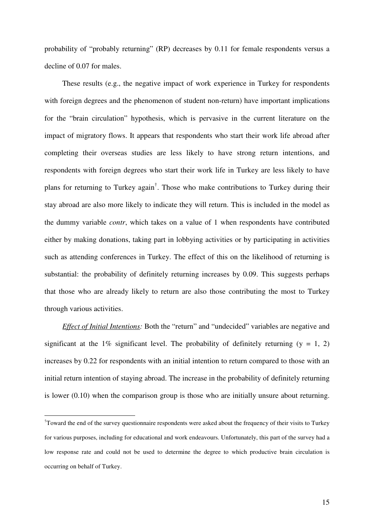probability of "probably returning" (RP) decreases by 0.11 for female respondents versus a decline of 0.07 for males.

These results (e.g., the negative impact of work experience in Turkey for respondents with foreign degrees and the phenomenon of student non-return) have important implications for the "brain circulation" hypothesis, which is pervasive in the current literature on the impact of migratory flows. It appears that respondents who start their work life abroad after completing their overseas studies are less likely to have strong return intentions, and respondents with foreign degrees who start their work life in Turkey are less likely to have plans for returning to Turkey again<sup>†</sup>. Those who make contributions to Turkey during their stay abroad are also more likely to indicate they will return. This is included in the model as the dummy variable *contr*, which takes on a value of 1 when respondents have contributed either by making donations, taking part in lobbying activities or by participating in activities such as attending conferences in Turkey. The effect of this on the likelihood of returning is substantial: the probability of definitely returning increases by 0.09. This suggests perhaps that those who are already likely to return are also those contributing the most to Turkey through various activities.

*Effect of Initial Intentions:* Both the "return" and "undecided" variables are negative and significant at the 1% significant level. The probability of definitely returning  $(y = 1, 2)$ increases by 0.22 for respondents with an initial intention to return compared to those with an initial return intention of staying abroad. The increase in the probability of definitely returning is lower (0.10) when the comparison group is those who are initially unsure about returning.

<sup>&</sup>lt;sup>†</sup>Toward the end of the survey questionnaire respondents were asked about the frequency of their visits to Turkey for various purposes, including for educational and work endeavours. Unfortunately, this part of the survey had a low response rate and could not be used to determine the degree to which productive brain circulation is occurring on behalf of Turkey.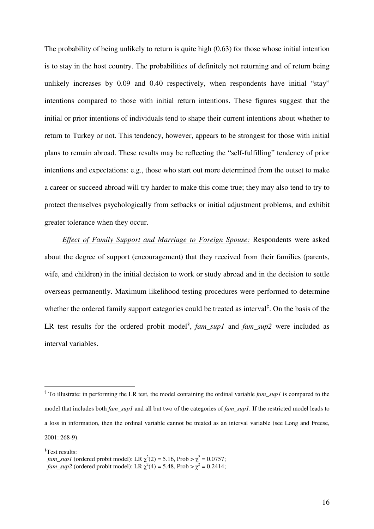The probability of being unlikely to return is quite high (0.63) for those whose initial intention is to stay in the host country. The probabilities of definitely not returning and of return being unlikely increases by 0.09 and 0.40 respectively, when respondents have initial "stay" intentions compared to those with initial return intentions. These figures suggest that the initial or prior intentions of individuals tend to shape their current intentions about whether to return to Turkey or not. This tendency, however, appears to be strongest for those with initial plans to remain abroad. These results may be reflecting the "self-fulfilling" tendency of prior intentions and expectations: e.g., those who start out more determined from the outset to make a career or succeed abroad will try harder to make this come true; they may also tend to try to protect themselves psychologically from setbacks or initial adjustment problems, and exhibit greater tolerance when they occur.

*Effect of Family Support and Marriage to Foreign Spouse:* Respondents were asked about the degree of support (encouragement) that they received from their families (parents, wife, and children) in the initial decision to work or study abroad and in the decision to settle overseas permanently. Maximum likelihood testing procedures were performed to determine whether the ordered family support categories could be treated as interval<sup>‡</sup>. On the basis of the LR test results for the ordered probit model<sup>§</sup>, fam\_sup1 and fam\_sup2 were included as interval variables.

§Test results:

<sup>‡</sup> To illustrate: in performing the LR test, the model containing the ordinal variable *fam\_sup1* is compared to the model that includes both *fam\_sup1* and all but two of the categories of *fam\_sup1*. If the restricted model leads to a loss in information, then the ordinal variable cannot be treated as an interval variable (see Long and Freese, 2001: 268-9).

*fam\_sup1* (ordered probit model): LR  $\chi^2(2) = 5.16$ , Prob >  $\chi^2 = 0.0757$ ; *fam\_sup2* (ordered probit model): LR  $\chi^2(4) = 5.48$ , Prob >  $\chi^2 = 0.2414$ ;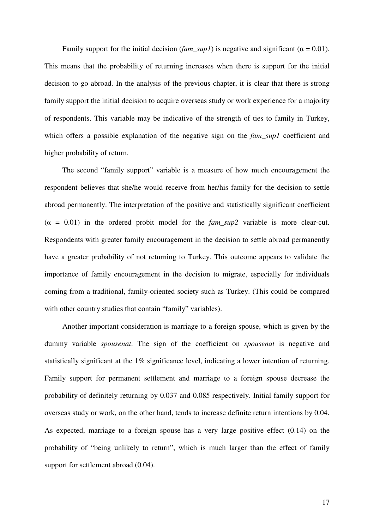Family support for the initial decision ( $\text{fam\_sup1}$ ) is negative and significant ( $\alpha = 0.01$ ). This means that the probability of returning increases when there is support for the initial decision to go abroad. In the analysis of the previous chapter, it is clear that there is strong family support the initial decision to acquire overseas study or work experience for a majority of respondents. This variable may be indicative of the strength of ties to family in Turkey, which offers a possible explanation of the negative sign on the *fam* sup1 coefficient and higher probability of return.

The second "family support" variable is a measure of how much encouragement the respondent believes that she/he would receive from her/his family for the decision to settle abroad permanently. The interpretation of the positive and statistically significant coefficient  $(\alpha = 0.01)$  in the ordered probit model for the  $f_{\alpha} = f_{\alpha}$  variable is more clear-cut. Respondents with greater family encouragement in the decision to settle abroad permanently have a greater probability of not returning to Turkey. This outcome appears to validate the importance of family encouragement in the decision to migrate, especially for individuals coming from a traditional, family-oriented society such as Turkey. (This could be compared with other country studies that contain "family" variables).

Another important consideration is marriage to a foreign spouse, which is given by the dummy variable *spousenat*. The sign of the coefficient on *spousenat* is negative and statistically significant at the 1% significance level, indicating a lower intention of returning. Family support for permanent settlement and marriage to a foreign spouse decrease the probability of definitely returning by 0.037 and 0.085 respectively. Initial family support for overseas study or work, on the other hand, tends to increase definite return intentions by 0.04. As expected, marriage to a foreign spouse has a very large positive effect (0.14) on the probability of "being unlikely to return", which is much larger than the effect of family support for settlement abroad  $(0.04)$ .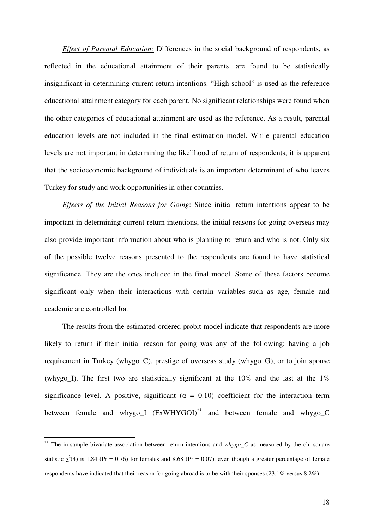*Effect of Parental Education:* Differences in the social background of respondents, as reflected in the educational attainment of their parents, are found to be statistically insignificant in determining current return intentions. "High school" is used as the reference educational attainment category for each parent. No significant relationships were found when the other categories of educational attainment are used as the reference. As a result, parental education levels are not included in the final estimation model. While parental education levels are not important in determining the likelihood of return of respondents, it is apparent that the socioeconomic background of individuals is an important determinant of who leaves Turkey for study and work opportunities in other countries.

*Effects of the Initial Reasons for Going*: Since initial return intentions appear to be important in determining current return intentions, the initial reasons for going overseas may also provide important information about who is planning to return and who is not. Only six of the possible twelve reasons presented to the respondents are found to have statistical significance. They are the ones included in the final model. Some of these factors become significant only when their interactions with certain variables such as age, female and academic are controlled for.

The results from the estimated ordered probit model indicate that respondents are more likely to return if their initial reason for going was any of the following: having a job requirement in Turkey (whygo\_C), prestige of overseas study (whygo\_G), or to join spouse (whygo<sub>I</sub>). The first two are statistically significant at the  $10\%$  and the last at the  $1\%$ significance level. A positive, significant ( $\alpha = 0.10$ ) coefficient for the interaction term between female and whygo\_I (FxWHYGOI)<sup>\*\*</sup> and between female and whygo\_C

<sup>&</sup>lt;sup>\*\*</sup> The in-sample bivariate association between return intentions and *whygo* C as measured by the chi-square statistic  $\chi^2(4)$  is 1.84 (Pr = 0.76) for females and 8.68 (Pr = 0.07), even though a greater percentage of female respondents have indicated that their reason for going abroad is to be with their spouses (23.1% versus 8.2%).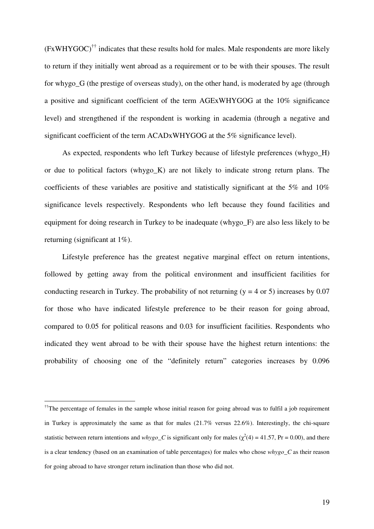$(FxWHYGOC)^{\dagger\dagger}$  indicates that these results hold for males. Male respondents are more likely to return if they initially went abroad as a requirement or to be with their spouses. The result for whygo\_G (the prestige of overseas study), on the other hand, is moderated by age (through a positive and significant coefficient of the term AGExWHYGOG at the 10% significance level) and strengthened if the respondent is working in academia (through a negative and significant coefficient of the term ACADxWHYGOG at the 5% significance level).

As expected, respondents who left Turkey because of lifestyle preferences (whygo\_H) or due to political factors (whygo\_K) are not likely to indicate strong return plans. The coefficients of these variables are positive and statistically significant at the 5% and 10% significance levels respectively. Respondents who left because they found facilities and equipment for doing research in Turkey to be inadequate (whygo\_F) are also less likely to be returning (significant at 1%).

Lifestyle preference has the greatest negative marginal effect on return intentions, followed by getting away from the political environment and insufficient facilities for conducting research in Turkey. The probability of not returning  $(y = 4 \text{ or } 5)$  increases by 0.07 for those who have indicated lifestyle preference to be their reason for going abroad, compared to 0.05 for political reasons and 0.03 for insufficient facilities. Respondents who indicated they went abroad to be with their spouse have the highest return intentions: the probability of choosing one of the "definitely return" categories increases by 0.096

<sup>&</sup>lt;sup>††</sup>The percentage of females in the sample whose initial reason for going abroad was to fulfil a job requirement in Turkey is approximately the same as that for males (21.7% versus 22.6%). Interestingly, the chi-square statistic between return intentions and  $whygo_C$  is significant only for males ( $\chi^2(4) = 41.57$ , Pr = 0.00), and there is a clear tendency (based on an examination of table percentages) for males who chose *whygo\_C* as their reason for going abroad to have stronger return inclination than those who did not.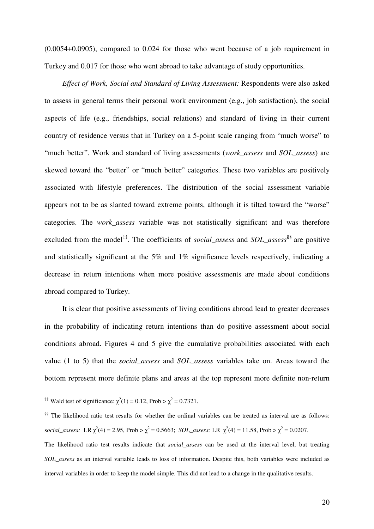(0.0054+0.0905), compared to 0.024 for those who went because of a job requirement in Turkey and 0.017 for those who went abroad to take advantage of study opportunities.

*Effect of Work, Social and Standard of Living Assessment:* Respondents were also asked to assess in general terms their personal work environment (e.g., job satisfaction), the social aspects of life (e.g., friendships, social relations) and standard of living in their current country of residence versus that in Turkey on a 5-point scale ranging from "much worse" to "much better". Work and standard of living assessments (*work\_assess* and *SOL\_assess*) are skewed toward the "better" or "much better" categories. These two variables are positively associated with lifestyle preferences. The distribution of the social assessment variable appears not to be as slanted toward extreme points, although it is tilted toward the "worse" categories. The *work\_assess* variable was not statistically significant and was therefore excluded from the model<sup>‡‡</sup>. The coefficients of *social\_assess* and *SOL\_assess*<sup>§§</sup> are positive and statistically significant at the 5% and 1% significance levels respectively, indicating a decrease in return intentions when more positive assessments are made about conditions abroad compared to Turkey.

It is clear that positive assessments of living conditions abroad lead to greater decreases in the probability of indicating return intentions than do positive assessment about social conditions abroad. Figures 4 and 5 give the cumulative probabilities associated with each value (1 to 5) that the *social\_assess* and *SOL\_assess* variables take on. Areas toward the bottom represent more definite plans and areas at the top represent more definite non-return

<sup>&</sup>lt;sup>‡‡</sup> Wald test of significance:  $\chi^2(1) = 0.12$ , Prob >  $\chi^2 = 0.7321$ .

<sup>&</sup>lt;sup>§§</sup> The likelihood ratio test results for whether the ordinal variables can be treated as interval are as follows:  $social\_assess: \ \ LR \ \chi^2(4) = 2.95, \ Prob{Pre} > \chi^2 = 0.5663; \ \ SOL\_assess: \ LR \ \ \chi^2(4) = 11.58, \ Prob{Pre} > \chi^2 = 0.0207.$ 

The likelihood ratio test results indicate that *social\_assess* can be used at the interval level, but treating *SOL\_assess* as an interval variable leads to loss of information. Despite this, both variables were included as interval variables in order to keep the model simple. This did not lead to a change in the qualitative results.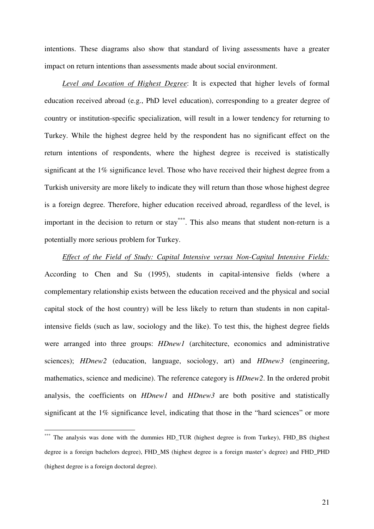intentions. These diagrams also show that standard of living assessments have a greater impact on return intentions than assessments made about social environment.

*Level and Location of Highest Degree*: It is expected that higher levels of formal education received abroad (e.g., PhD level education), corresponding to a greater degree of country or institution-specific specialization, will result in a lower tendency for returning to Turkey. While the highest degree held by the respondent has no significant effect on the return intentions of respondents, where the highest degree is received is statistically significant at the 1% significance level. Those who have received their highest degree from a Turkish university are more likely to indicate they will return than those whose highest degree is a foreign degree. Therefore, higher education received abroad, regardless of the level, is important in the decision to return or stay\*\*\*. This also means that student non-return is a potentially more serious problem for Turkey.

*Effect of the Field of Study: Capital Intensive versus Non-Capital Intensive Fields:* According to Chen and Su (1995), students in capital-intensive fields (where a complementary relationship exists between the education received and the physical and social capital stock of the host country) will be less likely to return than students in non capitalintensive fields (such as law, sociology and the like). To test this, the highest degree fields were arranged into three groups: *HDnew1* (architecture, economics and administrative sciences); *HDnew2* (education, language, sociology, art) and *HDnew3* (engineering, mathematics, science and medicine). The reference category is *HDnew2*. In the ordered probit analysis, the coefficients on *HDnew1* and *HDnew3* are both positive and statistically significant at the 1% significance level, indicating that those in the "hard sciences" or more

<sup>\*\*\*</sup> The analysis was done with the dummies HD\_TUR (highest degree is from Turkey), FHD\_BS (highest degree is a foreign bachelors degree), FHD\_MS (highest degree is a foreign master's degree) and FHD\_PHD (highest degree is a foreign doctoral degree).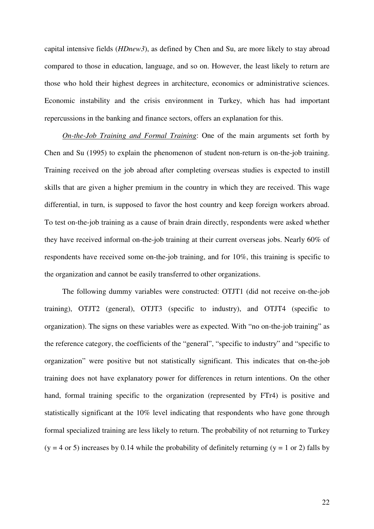capital intensive fields (*HDnew3*), as defined by Chen and Su, are more likely to stay abroad compared to those in education, language, and so on. However, the least likely to return are those who hold their highest degrees in architecture, economics or administrative sciences. Economic instability and the crisis environment in Turkey, which has had important repercussions in the banking and finance sectors, offers an explanation for this.

*On-the-Job Training and Formal Training*: One of the main arguments set forth by Chen and Su (1995) to explain the phenomenon of student non-return is on-the-job training. Training received on the job abroad after completing overseas studies is expected to instill skills that are given a higher premium in the country in which they are received. This wage differential, in turn, is supposed to favor the host country and keep foreign workers abroad. To test on-the-job training as a cause of brain drain directly, respondents were asked whether they have received informal on-the-job training at their current overseas jobs. Nearly 60% of respondents have received some on-the-job training, and for 10%, this training is specific to the organization and cannot be easily transferred to other organizations.

The following dummy variables were constructed: OTJT1 (did not receive on-the-job training), OTJT2 (general), OTJT3 (specific to industry), and OTJT4 (specific to organization). The signs on these variables were as expected. With "no on-the-job training" as the reference category, the coefficients of the "general", "specific to industry" and "specific to organization" were positive but not statistically significant. This indicates that on-the-job training does not have explanatory power for differences in return intentions. On the other hand, formal training specific to the organization (represented by FTr4) is positive and statistically significant at the 10% level indicating that respondents who have gone through formal specialized training are less likely to return. The probability of not returning to Turkey  $(y = 4 \text{ or } 5)$  increases by 0.14 while the probability of definitely returning  $(y = 1 \text{ or } 2)$  falls by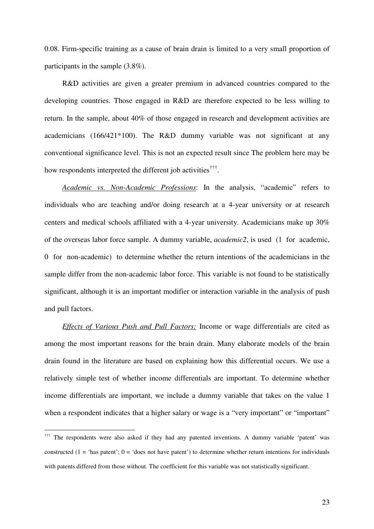0.08. Firm-specific training as a cause of brain drain is limited to a very small proportion of participants in the sample (3.8%).

R&D activities are given a greater premium in advanced countries compared to the developing countries. Those engaged in R&D are therefore expected to be less willing to return. In the sample, about 40% of those engaged in research and development activities are academicians (166/421\*100). The R&D dummy variable was not significant at any conventional significance level. This is not an expected result since The problem here may be how respondents interpreted the different job activities<sup>†††</sup>.

*Academic vs. Non-Academic Professions*: In the analysis, "academic" refers to individuals who are teaching and/or doing research at a 4-year university or at research centers and medical schools affiliated with a 4-year university. Academicians make up 30% of the overseas labor force sample. A dummy variable, *academic2*, is used (1 for academic, 0 for non-academic) to determine whether the return intentions of the academicians in the sample differ from the non-academic labor force. This variable is not found to be statistically significant, although it is an important modifier or interaction variable in the analysis of push and pull factors.

*Effects of Various Push and Pull Factors:* Income or wage differentials are cited as among the most important reasons for the brain drain. Many elaborate models of the brain drain found in the literature are based on explaining how this differential occurs. We use a relatively simple test of whether income differentials are important. To determine whether income differentials are important, we include a dummy variable that takes on the value 1 when a respondent indicates that a higher salary or wage is a "very important" or "important"

<sup>†††</sup> The respondents were also asked if they had any patented inventions. A dummy variable 'patent' was constructed (1 = 'has patent';  $0 = 'does not have patent')$  to determine whether return intentions for individuals with patents differed from those without. The coefficient for this variable was not statistically significant.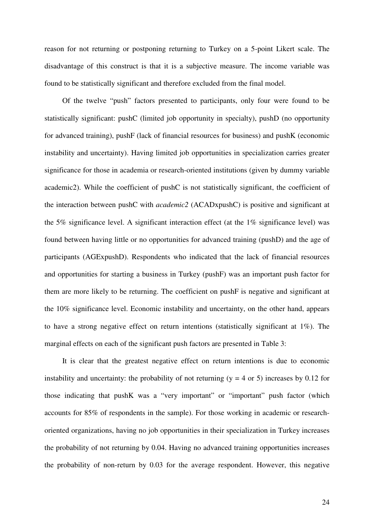reason for not returning or postponing returning to Turkey on a 5-point Likert scale. The disadvantage of this construct is that it is a subjective measure. The income variable was found to be statistically significant and therefore excluded from the final model.

Of the twelve "push" factors presented to participants, only four were found to be statistically significant: pushC (limited job opportunity in specialty), pushD (no opportunity for advanced training), pushF (lack of financial resources for business) and pushK (economic instability and uncertainty). Having limited job opportunities in specialization carries greater significance for those in academia or research-oriented institutions (given by dummy variable academic2). While the coefficient of pushC is not statistically significant, the coefficient of the interaction between pushC with *academic2* (ACADxpushC) is positive and significant at the 5% significance level. A significant interaction effect (at the 1% significance level) was found between having little or no opportunities for advanced training (pushD) and the age of participants (AGExpushD). Respondents who indicated that the lack of financial resources and opportunities for starting a business in Turkey (pushF) was an important push factor for them are more likely to be returning. The coefficient on pushF is negative and significant at the 10% significance level. Economic instability and uncertainty, on the other hand, appears to have a strong negative effect on return intentions (statistically significant at 1%). The marginal effects on each of the significant push factors are presented in Table 3:

It is clear that the greatest negative effect on return intentions is due to economic instability and uncertainty: the probability of not returning ( $y = 4$  or 5) increases by 0.12 for those indicating that pushK was a "very important" or "important" push factor (which accounts for 85% of respondents in the sample). For those working in academic or researchoriented organizations, having no job opportunities in their specialization in Turkey increases the probability of not returning by 0.04. Having no advanced training opportunities increases the probability of non-return by 0.03 for the average respondent. However, this negative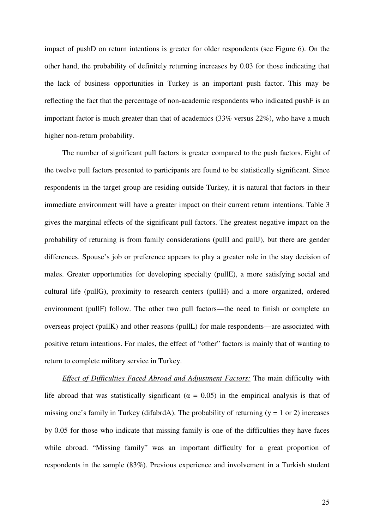impact of pushD on return intentions is greater for older respondents (see Figure 6). On the other hand, the probability of definitely returning increases by 0.03 for those indicating that the lack of business opportunities in Turkey is an important push factor. This may be reflecting the fact that the percentage of non-academic respondents who indicated pushF is an important factor is much greater than that of academics (33% versus 22%), who have a much higher non-return probability.

The number of significant pull factors is greater compared to the push factors. Eight of the twelve pull factors presented to participants are found to be statistically significant. Since respondents in the target group are residing outside Turkey, it is natural that factors in their immediate environment will have a greater impact on their current return intentions. Table 3 gives the marginal effects of the significant pull factors. The greatest negative impact on the probability of returning is from family considerations (pullI and pullJ), but there are gender differences. Spouse's job or preference appears to play a greater role in the stay decision of males. Greater opportunities for developing specialty (pullE), a more satisfying social and cultural life (pullG), proximity to research centers (pullH) and a more organized, ordered environment (pullF) follow. The other two pull factors—the need to finish or complete an overseas project (pullK) and other reasons (pullL) for male respondents—are associated with positive return intentions. For males, the effect of "other" factors is mainly that of wanting to return to complete military service in Turkey.

*Effect of Difficulties Faced Abroad and Adjustment Factors:* The main difficulty with life abroad that was statistically significant ( $\alpha = 0.05$ ) in the empirical analysis is that of missing one's family in Turkey (difabrdA). The probability of returning  $(y = 1 \text{ or } 2)$  increases by 0.05 for those who indicate that missing family is one of the difficulties they have faces while abroad. "Missing family" was an important difficulty for a great proportion of respondents in the sample (83%). Previous experience and involvement in a Turkish student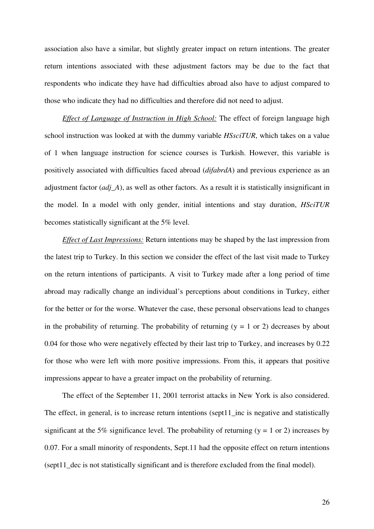association also have a similar, but slightly greater impact on return intentions. The greater return intentions associated with these adjustment factors may be due to the fact that respondents who indicate they have had difficulties abroad also have to adjust compared to those who indicate they had no difficulties and therefore did not need to adjust.

*Effect of Language of Instruction in High School:* The effect of foreign language high school instruction was looked at with the dummy variable *HSsciTUR*, which takes on a value of 1 when language instruction for science courses is Turkish. However, this variable is positively associated with difficulties faced abroad (*difabrdA*) and previous experience as an adjustment factor (*adj\_A*), as well as other factors. As a result it is statistically insignificant in the model. In a model with only gender, initial intentions and stay duration, *HSciTUR* becomes statistically significant at the 5% level.

*Effect of Last Impressions:* Return intentions may be shaped by the last impression from the latest trip to Turkey. In this section we consider the effect of the last visit made to Turkey on the return intentions of participants. A visit to Turkey made after a long period of time abroad may radically change an individual's perceptions about conditions in Turkey, either for the better or for the worse. Whatever the case, these personal observations lead to changes in the probability of returning. The probability of returning  $(y = 1 \text{ or } 2)$  decreases by about 0.04 for those who were negatively effected by their last trip to Turkey, and increases by 0.22 for those who were left with more positive impressions. From this, it appears that positive impressions appear to have a greater impact on the probability of returning.

The effect of the September 11, 2001 terrorist attacks in New York is also considered. The effect, in general, is to increase return intentions (sept11\_inc is negative and statistically significant at the 5% significance level. The probability of returning ( $y = 1$  or 2) increases by 0.07. For a small minority of respondents, Sept.11 had the opposite effect on return intentions (sept11\_dec is not statistically significant and is therefore excluded from the final model).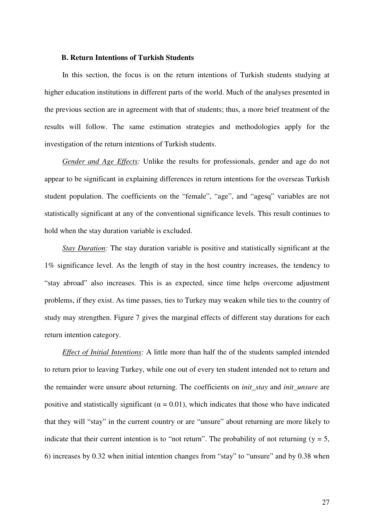#### **B. Return Intentions of Turkish Students**

In this section, the focus is on the return intentions of Turkish students studying at higher education institutions in different parts of the world. Much of the analyses presented in the previous section are in agreement with that of students; thus, a more brief treatment of the results will follow. The same estimation strategies and methodologies apply for the investigation of the return intentions of Turkish students.

*Gender and Age Effects:* Unlike the results for professionals, gender and age do not appear to be significant in explaining differences in return intentions for the overseas Turkish student population. The coefficients on the "female", "age", and "agesq" variables are not statistically significant at any of the conventional significance levels. This result continues to hold when the stay duration variable is excluded.

*Stay Duration:* The stay duration variable is positive and statistically significant at the 1% significance level. As the length of stay in the host country increases, the tendency to "stay abroad" also increases. This is as expected, since time helps overcome adjustment problems, if they exist. As time passes, ties to Turkey may weaken while ties to the country of study may strengthen. Figure 7 gives the marginal effects of different stay durations for each return intention category.

*Effect of Initial Intentions:* A little more than half the of the students sampled intended to return prior to leaving Turkey, while one out of every ten student intended not to return and the remainder were unsure about returning. The coefficients on *init\_stay* and *init\_unsure* are positive and statistically significant ( $\alpha = 0.01$ ), which indicates that those who have indicated that they will "stay" in the current country or are "unsure" about returning are more likely to indicate that their current intention is to "not return". The probability of not returning ( $y = 5$ , 6) increases by 0.32 when initial intention changes from "stay" to "unsure" and by 0.38 when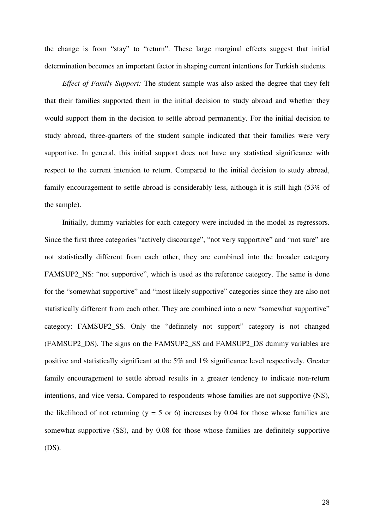the change is from "stay" to "return". These large marginal effects suggest that initial determination becomes an important factor in shaping current intentions for Turkish students.

*Effect of Family Support:* The student sample was also asked the degree that they felt that their families supported them in the initial decision to study abroad and whether they would support them in the decision to settle abroad permanently. For the initial decision to study abroad, three-quarters of the student sample indicated that their families were very supportive. In general, this initial support does not have any statistical significance with respect to the current intention to return. Compared to the initial decision to study abroad, family encouragement to settle abroad is considerably less, although it is still high (53% of the sample).

Initially, dummy variables for each category were included in the model as regressors. Since the first three categories "actively discourage", "not very supportive" and "not sure" are not statistically different from each other, they are combined into the broader category FAMSUP2 NS: "not supportive", which is used as the reference category. The same is done for the "somewhat supportive" and "most likely supportive" categories since they are also not statistically different from each other. They are combined into a new "somewhat supportive" category: FAMSUP2\_SS. Only the "definitely not support" category is not changed (FAMSUP2\_DS). The signs on the FAMSUP2\_SS and FAMSUP2\_DS dummy variables are positive and statistically significant at the 5% and 1% significance level respectively. Greater family encouragement to settle abroad results in a greater tendency to indicate non-return intentions, and vice versa. Compared to respondents whose families are not supportive (NS), the likelihood of not returning ( $y = 5$  or 6) increases by 0.04 for those whose families are somewhat supportive (SS), and by 0.08 for those whose families are definitely supportive (DS).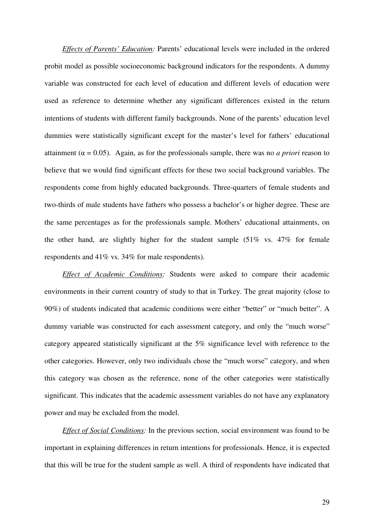*Effects of Parents' Education:* Parents' educational levels were included in the ordered probit model as possible socioeconomic background indicators for the respondents. A dummy variable was constructed for each level of education and different levels of education were used as reference to determine whether any significant differences existed in the return intentions of students with different family backgrounds. None of the parents' education level dummies were statistically significant except for the master's level for fathers' educational attainment ( $\alpha = 0.05$ ). Again, as for the professionals sample, there was no *a priori* reason to believe that we would find significant effects for these two social background variables. The respondents come from highly educated backgrounds. Three-quarters of female students and two-thirds of male students have fathers who possess a bachelor's or higher degree. These are the same percentages as for the professionals sample. Mothers' educational attainments, on the other hand, are slightly higher for the student sample (51% vs. 47% for female respondents and 41% vs. 34% for male respondents).

*Effect of Academic Conditions:* Students were asked to compare their academic environments in their current country of study to that in Turkey. The great majority (close to 90%) of students indicated that academic conditions were either "better" or "much better". A dummy variable was constructed for each assessment category, and only the "much worse" category appeared statistically significant at the 5% significance level with reference to the other categories. However, only two individuals chose the "much worse" category, and when this category was chosen as the reference, none of the other categories were statistically significant. This indicates that the academic assessment variables do not have any explanatory power and may be excluded from the model.

*Effect of Social Conditions:* In the previous section, social environment was found to be important in explaining differences in return intentions for professionals. Hence, it is expected that this will be true for the student sample as well. A third of respondents have indicated that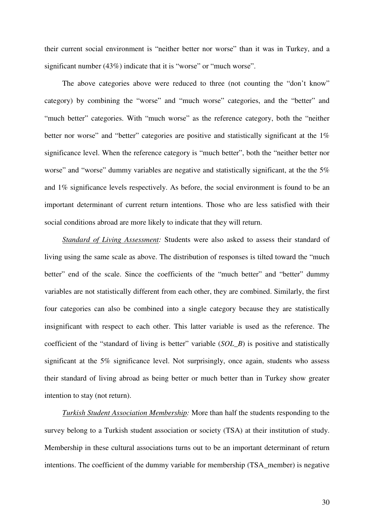their current social environment is "neither better nor worse" than it was in Turkey, and a significant number (43%) indicate that it is "worse" or "much worse".

The above categories above were reduced to three (not counting the "don't know" category) by combining the "worse" and "much worse" categories, and the "better" and "much better" categories. With "much worse" as the reference category, both the "neither better nor worse" and "better" categories are positive and statistically significant at the 1% significance level. When the reference category is "much better", both the "neither better nor worse" and "worse" dummy variables are negative and statistically significant, at the the 5% and 1% significance levels respectively. As before, the social environment is found to be an important determinant of current return intentions. Those who are less satisfied with their social conditions abroad are more likely to indicate that they will return.

*Standard of Living Assessment:* Students were also asked to assess their standard of living using the same scale as above. The distribution of responses is tilted toward the "much better" end of the scale. Since the coefficients of the "much better" and "better" dummy variables are not statistically different from each other, they are combined. Similarly, the first four categories can also be combined into a single category because they are statistically insignificant with respect to each other. This latter variable is used as the reference. The coefficient of the "standard of living is better" variable (*SOL\_B*) is positive and statistically significant at the 5% significance level. Not surprisingly, once again, students who assess their standard of living abroad as being better or much better than in Turkey show greater intention to stay (not return).

*Turkish Student Association Membership:* More than half the students responding to the survey belong to a Turkish student association or society (TSA) at their institution of study. Membership in these cultural associations turns out to be an important determinant of return intentions. The coefficient of the dummy variable for membership (TSA\_member) is negative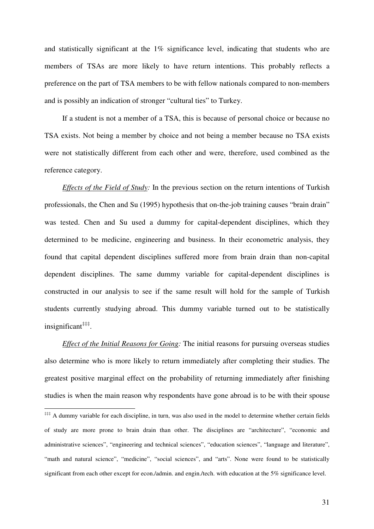and statistically significant at the 1% significance level, indicating that students who are members of TSAs are more likely to have return intentions. This probably reflects a preference on the part of TSA members to be with fellow nationals compared to non-members and is possibly an indication of stronger "cultural ties" to Turkey.

If a student is not a member of a TSA, this is because of personal choice or because no TSA exists. Not being a member by choice and not being a member because no TSA exists were not statistically different from each other and were, therefore, used combined as the reference category.

*Effects of the Field of Study:* In the previous section on the return intentions of Turkish professionals, the Chen and Su (1995) hypothesis that on-the-job training causes "brain drain" was tested. Chen and Su used a dummy for capital-dependent disciplines, which they determined to be medicine, engineering and business. In their econometric analysis, they found that capital dependent disciplines suffered more from brain drain than non-capital dependent disciplines. The same dummy variable for capital-dependent disciplines is constructed in our analysis to see if the same result will hold for the sample of Turkish students currently studying abroad. This dummy variable turned out to be statistically insignificant<sup>###</sup>.

*Effect of the Initial Reasons for Going:* The initial reasons for pursuing overseas studies also determine who is more likely to return immediately after completing their studies. The greatest positive marginal effect on the probability of returning immediately after finishing studies is when the main reason why respondents have gone abroad is to be with their spouse

<sup>&</sup>lt;sup>‡‡‡‡</sup> A dummy variable for each discipline, in turn, was also used in the model to determine whether certain fields of study are more prone to brain drain than other. The disciplines are "architecture", "economic and administrative sciences", "engineering and technical sciences", "education sciences", "language and literature", "math and natural science", "medicine", "social sciences", and "arts". None were found to be statistically significant from each other except for econ./admin. and engin./tech. with education at the 5% significance level.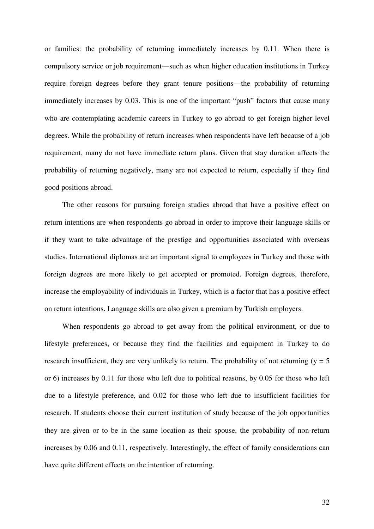or families: the probability of returning immediately increases by 0.11. When there is compulsory service or job requirement—such as when higher education institutions in Turkey require foreign degrees before they grant tenure positions—the probability of returning immediately increases by 0.03. This is one of the important "push" factors that cause many who are contemplating academic careers in Turkey to go abroad to get foreign higher level degrees. While the probability of return increases when respondents have left because of a job requirement, many do not have immediate return plans. Given that stay duration affects the probability of returning negatively, many are not expected to return, especially if they find good positions abroad.

The other reasons for pursuing foreign studies abroad that have a positive effect on return intentions are when respondents go abroad in order to improve their language skills or if they want to take advantage of the prestige and opportunities associated with overseas studies. International diplomas are an important signal to employees in Turkey and those with foreign degrees are more likely to get accepted or promoted. Foreign degrees, therefore, increase the employability of individuals in Turkey, which is a factor that has a positive effect on return intentions. Language skills are also given a premium by Turkish employers.

When respondents go abroad to get away from the political environment, or due to lifestyle preferences, or because they find the facilities and equipment in Turkey to do research insufficient, they are very unlikely to return. The probability of not returning ( $y = 5$ ) or 6) increases by 0.11 for those who left due to political reasons, by 0.05 for those who left due to a lifestyle preference, and 0.02 for those who left due to insufficient facilities for research. If students choose their current institution of study because of the job opportunities they are given or to be in the same location as their spouse, the probability of non-return increases by 0.06 and 0.11, respectively. Interestingly, the effect of family considerations can have quite different effects on the intention of returning.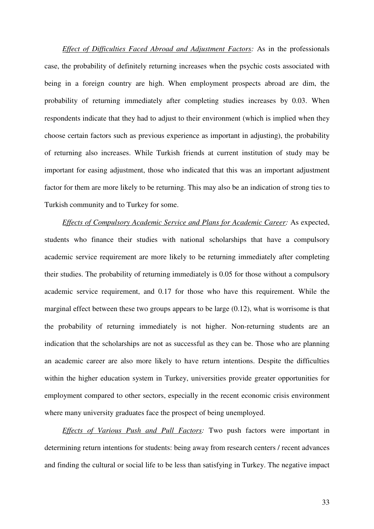*Effect of Difficulties Faced Abroad and Adjustment Factors:* As in the professionals case, the probability of definitely returning increases when the psychic costs associated with being in a foreign country are high. When employment prospects abroad are dim, the probability of returning immediately after completing studies increases by 0.03. When respondents indicate that they had to adjust to their environment (which is implied when they choose certain factors such as previous experience as important in adjusting), the probability of returning also increases. While Turkish friends at current institution of study may be important for easing adjustment, those who indicated that this was an important adjustment factor for them are more likely to be returning. This may also be an indication of strong ties to Turkish community and to Turkey for some.

*Effects of Compulsory Academic Service and Plans for Academic Career:* As expected, students who finance their studies with national scholarships that have a compulsory academic service requirement are more likely to be returning immediately after completing their studies. The probability of returning immediately is 0.05 for those without a compulsory academic service requirement, and 0.17 for those who have this requirement. While the marginal effect between these two groups appears to be large (0.12), what is worrisome is that the probability of returning immediately is not higher. Non-returning students are an indication that the scholarships are not as successful as they can be. Those who are planning an academic career are also more likely to have return intentions. Despite the difficulties within the higher education system in Turkey, universities provide greater opportunities for employment compared to other sectors, especially in the recent economic crisis environment where many university graduates face the prospect of being unemployed.

*Effects of Various Push and Pull Factors:* Two push factors were important in determining return intentions for students: being away from research centers / recent advances and finding the cultural or social life to be less than satisfying in Turkey. The negative impact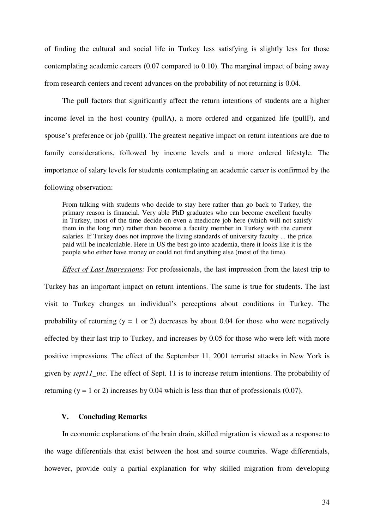of finding the cultural and social life in Turkey less satisfying is slightly less for those contemplating academic careers (0.07 compared to 0.10). The marginal impact of being away from research centers and recent advances on the probability of not returning is 0.04.

The pull factors that significantly affect the return intentions of students are a higher income level in the host country (pullA), a more ordered and organized life (pullF), and spouse's preference or job (pullI). The greatest negative impact on return intentions are due to family considerations, followed by income levels and a more ordered lifestyle. The importance of salary levels for students contemplating an academic career is confirmed by the following observation:

From talking with students who decide to stay here rather than go back to Turkey, the primary reason is financial. Very able PhD graduates who can become excellent faculty in Turkey, most of the time decide on even a mediocre job here (which will not satisfy them in the long run) rather than become a faculty member in Turkey with the current salaries. If Turkey does not improve the living standards of university faculty ... the price paid will be incalculable. Here in US the best go into academia, there it looks like it is the people who either have money or could not find anything else (most of the time).

*Effect of Last Impressions:* For professionals, the last impression from the latest trip to Turkey has an important impact on return intentions. The same is true for students. The last visit to Turkey changes an individual's perceptions about conditions in Turkey. The probability of returning  $(y = 1 \text{ or } 2)$  decreases by about 0.04 for those who were negatively effected by their last trip to Turkey, and increases by 0.05 for those who were left with more positive impressions. The effect of the September 11, 2001 terrorist attacks in New York is given by *sept11\_inc*. The effect of Sept. 11 is to increase return intentions. The probability of returning (y = 1 or 2) increases by 0.04 which is less than that of professionals (0.07).

# **V. Concluding Remarks**

In economic explanations of the brain drain, skilled migration is viewed as a response to the wage differentials that exist between the host and source countries. Wage differentials, however, provide only a partial explanation for why skilled migration from developing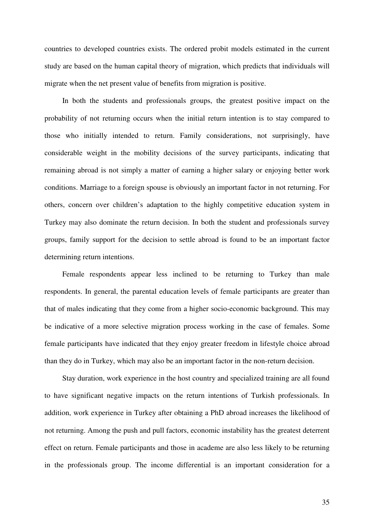countries to developed countries exists. The ordered probit models estimated in the current study are based on the human capital theory of migration, which predicts that individuals will migrate when the net present value of benefits from migration is positive.

In both the students and professionals groups, the greatest positive impact on the probability of not returning occurs when the initial return intention is to stay compared to those who initially intended to return. Family considerations, not surprisingly, have considerable weight in the mobility decisions of the survey participants, indicating that remaining abroad is not simply a matter of earning a higher salary or enjoying better work conditions. Marriage to a foreign spouse is obviously an important factor in not returning. For others, concern over children's adaptation to the highly competitive education system in Turkey may also dominate the return decision. In both the student and professionals survey groups, family support for the decision to settle abroad is found to be an important factor determining return intentions.

Female respondents appear less inclined to be returning to Turkey than male respondents. In general, the parental education levels of female participants are greater than that of males indicating that they come from a higher socio-economic background. This may be indicative of a more selective migration process working in the case of females. Some female participants have indicated that they enjoy greater freedom in lifestyle choice abroad than they do in Turkey, which may also be an important factor in the non-return decision.

Stay duration, work experience in the host country and specialized training are all found to have significant negative impacts on the return intentions of Turkish professionals. In addition, work experience in Turkey after obtaining a PhD abroad increases the likelihood of not returning. Among the push and pull factors, economic instability has the greatest deterrent effect on return. Female participants and those in academe are also less likely to be returning in the professionals group. The income differential is an important consideration for a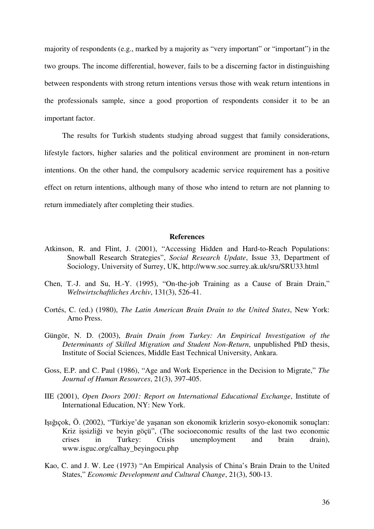majority of respondents (e.g., marked by a majority as "very important" or "important") in the two groups. The income differential, however, fails to be a discerning factor in distinguishing between respondents with strong return intentions versus those with weak return intentions in the professionals sample, since a good proportion of respondents consider it to be an important factor.

The results for Turkish students studying abroad suggest that family considerations, lifestyle factors, higher salaries and the political environment are prominent in non-return intentions. On the other hand, the compulsory academic service requirement has a positive effect on return intentions, although many of those who intend to return are not planning to return immediately after completing their studies.

### **References**

- Atkinson, R. and Flint, J. (2001), "Accessing Hidden and Hard-to-Reach Populations: Snowball Research Strategies", *Social Research Update*, Issue 33, Department of Sociology, University of Surrey, UK, http://www.soc.surrey.ak.uk/sru/SRU33.html
- Chen, T.-J. and Su, H.-Y. (1995), "On-the-job Training as a Cause of Brain Drain," *Weltwirtschaftliches Archiv*, 131(3), 526-41.
- Cortés, C. (ed.) (1980), *The Latin American Brain Drain to the United States*, New York: Arno Press.
- Güngör, N. D. (2003), *Brain Drain from Turkey: An Empirical Investigation of the Determinants of Skilled Migration and Student Non-Return*, unpublished PhD thesis, Institute of Social Sciences, Middle East Technical University, Ankara.
- Goss, E.P. and C. Paul (1986), "Age and Work Experience in the Decision to Migrate," *The Journal of Human Resources*, 21(3), 397-405.
- IIE (2001), *Open Doors 2001: Report on International Educational Exchange*, Institute of International Education, NY: New York.
- Işığıçok, Ö. (2002), "Türkiye'de yaşanan son ekonomik krizlerin sosyo-ekonomik sonuçları: Kriz işsizliği ve beyin göçü", (The socioeconomic results of the last two economic crises in Turkey: Crisis unemployment and brain drain), www.isguc.org/calhay\_beyingocu.php
- Kao, C. and J. W. Lee (1973) "An Empirical Analysis of China's Brain Drain to the United States," *Economic Development and Cultural Change*, 21(3), 500-13.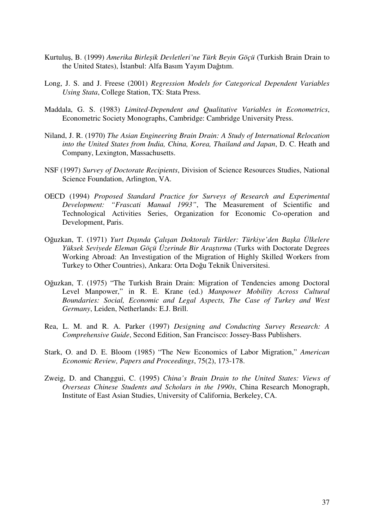- Kurtulu, B. (1999) *Amerika Birleik Devletleri'ne Türk Beyin Göçü* (Turkish Brain Drain to the United States), İstanbul: Alfa Basım Yayım Dağıtım.
- Long, J. S. and J. Freese (2001) *Regression Models for Categorical Dependent Variables Using Stata*, College Station, TX: Stata Press.
- Maddala, G. S. (1983) *Limited-Dependent and Qualitative Variables in Econometrics*, Econometric Society Monographs, Cambridge: Cambridge University Press.
- Niland, J. R. (1970) *The Asian Engineering Brain Drain: A Study of International Relocation into the United States from India, China, Korea, Thailand and Japan*, D. C. Heath and Company, Lexington, Massachusetts.
- NSF (1997) *Survey of Doctorate Recipients*, Division of Science Resources Studies, National Science Foundation, Arlington, VA.
- OECD (1994) *Proposed Standard Practice for Surveys of Research and Experimental Development: "Frascati Manual 1993"*, The Measurement of Scientific and Technological Activities Series, Organization for Economic Co-operation and Development, Paris.
- O-uzkan, T. (1971) *Yurt Dıında Çalıan Doktoralı Türkler: Türkiye'den Baka Ülkelere Yüksek Seviyede Eleman Göçü Üzerinde Bir Aratırma* (Turks with Doctorate Degrees Working Abroad: An Investigation of the Migration of Highly Skilled Workers from Turkey to Other Countries), Ankara: Orta Doğu Teknik Üniversitesi.
- Oğuzkan, T. (1975) "The Turkish Brain Drain: Migration of Tendencies among Doctoral Level Manpower," in R. E. Krane (ed.) *Manpower Mobility Across Cultural Boundaries: Social, Economic and Legal Aspects, The Case of Turkey and West Germany*, Leiden, Netherlands: E.J. Brill.
- Rea, L. M. and R. A. Parker (1997) *Designing and Conducting Survey Research: A Comprehensive Guide*, Second Edition, San Francisco: Jossey-Bass Publishers.
- Stark, O. and D. E. Bloom (1985) "The New Economics of Labor Migration," *American Economic Review, Papers and Proceedings*, 75(2), 173-178.
- Zweig, D. and Changgui, C. (1995) *China's Brain Drain to the United States: Views of Overseas Chinese Students and Scholars in the 1990s*, China Research Monograph, Institute of East Asian Studies, University of California, Berkeley, CA.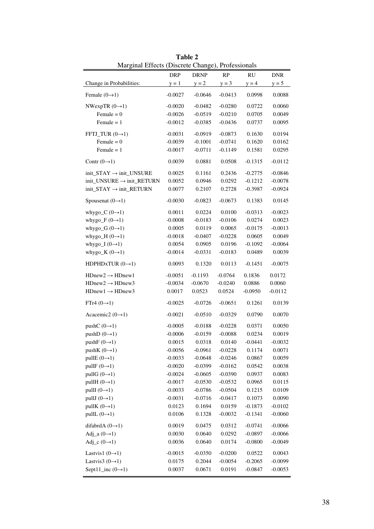| Marginal Effects (Discrete Change), Professionals |            |             |           |           |            |
|---------------------------------------------------|------------|-------------|-----------|-----------|------------|
|                                                   | <b>DRP</b> | <b>DRNP</b> | RP        | RU        | <b>DNR</b> |
| Change in Probabilities:                          | $y = 1$    | $y = 2$     | $y = 3$   | $y = 4$   | $y = 5$    |
| Female $(0\rightarrow 1)$                         | $-0.0027$  | $-0.0646$   | $-0.0413$ | 0.0998    | 0.0088     |
| NWexpTR $(0\rightarrow 1)$                        | $-0.0020$  | $-0.0482$   | $-0.0280$ | 0.0722    | 0.0060     |
| Female = $0$                                      | $-0.0026$  | $-0.0519$   | $-0.0210$ | 0.0705    | 0.0049     |
| $Female = 1$                                      | $-0.0012$  | $-0.0385$   | $-0.0436$ | 0.0737    | 0.0095     |
| FFTJ_TUR $(0\rightarrow 1)$                       | $-0.0031$  | $-0.0919$   | $-0.0873$ | 0.1630    | 0.0194     |
| Female = $0$                                      | $-0.0039$  | $-0.1001$   | $-0.0741$ | 0.1620    | 0.0162     |
| $Female = 1$                                      | $-0.0017$  | $-0.0711$   | $-0.1149$ | 0.1581    | 0.0295     |
| Contr $(0 \rightarrow 1)$                         | 0.0039     | 0.0881      | 0.0508    | $-0.1315$ | $-0.0112$  |
| $init\_STAY \rightarrow init\_UNSURE$             | 0.0025     | 0.1161      | 0.2436    | $-0.2775$ | $-0.0846$  |
| $init$ _UNSURE $\rightarrow$ init_RETURN          | 0.0052     | 0.0946      | 0.0292    | $-0.1212$ | $-0.0078$  |
| $init\_STAY \rightarrow init\_RETURN$             | 0.0077     | 0.2107      | 0.2728    | $-0.3987$ | $-0.0924$  |
| Spousenat $(0\rightarrow 1)$                      | $-0.0030$  | $-0.0823$   | $-0.0673$ | 0.1383    | 0.0145     |
| whygo_ $C$ (0 $\rightarrow$ 1)                    | 0.0011     | 0.0224      | 0.0100    | $-0.0313$ | $-0.0023$  |
| whygo_ $F(0\rightarrow 1)$                        | $-0.0008$  | $-0.0183$   | $-0.0106$ | 0.0274    | 0.0023     |
| whygo_G $(0\rightarrow 1)$                        | 0.0005     | 0.0119      | 0.0065    | $-0.0175$ | $-0.0013$  |
| whygo_H $(0\rightarrow 1)$                        | $-0.0018$  | $-0.0407$   | $-0.0228$ | 0.0605    | 0.0049     |
| whygo $_I(0\rightarrow1)$                         | 0.0054     | 0.0905      | 0.0196    | $-0.1092$ | $-0.0064$  |
| whygo_K $(0\rightarrow 1)$                        | $-0.0014$  | $-0.0331$   | $-0.0183$ | 0.0489    | 0.0039     |
| HDPHDxTUR $(0\rightarrow 1)$                      | 0.0093     | 0.1320      | 0.0113    | $-0.1451$ | $-0.0075$  |
| $HDnew2 \rightarrow HDnew1$                       | $-0.0051$  | $-0.1193$   | $-0.0764$ | 0.1836    | 0.0172     |
| $HDnew2 \rightarrow HDnew3$                       | $-0.0034$  | $-0.0670$   | $-0.0240$ | 0.0886    | 0.0060     |
| $HDnew1 \rightarrow HDnew3$                       | 0.0017     | 0.0523      | 0.0524    | $-0.0950$ | $-0.0112$  |
| FTr4 $(0 \rightarrow 1)$                          | $-0.0025$  | $-0.0726$   | $-0.0651$ | 0.1261    | 0.0139     |
| Acacemic2 $(0\rightarrow 1)$                      | $-0.0021$  | $-0.0510$   | $-0.0329$ | 0.0790    | 0.0070     |
| pushC $(0\rightarrow 1)$                          | $-0.0005$  | $-0.0188$   | $-0.0228$ | 0.0371    | 0.0050     |
| pushD $(0\rightarrow 1)$                          | $-0.0006$  | $-0.0159$   | $-0.0088$ | 0.0234    | 0.0019     |
| pushF $(0 \rightarrow 1)$                         | 0.0015     | 0.0318      | 0.0140    | $-0.0441$ | $-0.0032$  |
| pushK $(0\rightarrow 1)$                          | $-0.0056$  | $-0.0961$   | $-0.0228$ | 0.1174    | 0.0071     |
| pullE $(0 \rightarrow 1)$                         | $-0.0033$  | $-0.0648$   | $-0.0246$ | 0.0867    | 0.0059     |
| pullF $(0\rightarrow 1)$                          | $-0.0020$  | $-0.0399$   | $-0.0162$ | 0.0542    | 0.0038     |
| pullG $(0\rightarrow 1)$                          | $-0.0024$  | $-0.0605$   | $-0.0390$ | 0.0937    | 0.0083     |
| pullH $(0\rightarrow 1)$                          | $-0.0017$  | $-0.0530$   | $-0.0532$ | 0.0965    | 0.0115     |
| pullI $(0 \rightarrow 1)$                         | $-0.0033$  | $-0.0786$   | $-0.0504$ | 0.1215    | 0.0109     |
| pullJ $(0\rightarrow 1)$                          | $-0.0031$  | $-0.0716$   | $-0.0417$ | 0.1073    | 0.0090     |
| pullK $(0\rightarrow 1)$                          | 0.0123     | 0.1694      | 0.0159    | $-0.1873$ | $-0.0102$  |
| pullL $(0\rightarrow 1)$                          | 0.0106     | 0.1328      | $-0.0032$ | $-0.1341$ | $-0.0060$  |
| difabrdA $(0\rightarrow 1)$                       | 0.0019     | 0.0475      | 0.0312    | $-0.0741$ | $-0.0066$  |
| Adj_a $(0\rightarrow 1)$                          | 0.0030     | 0.0640      | 0.0292    | $-0.0897$ | $-0.0066$  |
| Adj_c $(0\rightarrow 1)$                          | 0.0036     | 0.0640      | 0.0174    | $-0.0800$ | $-0.0049$  |
| Lastvis1 $(0 \rightarrow 1)$                      | $-0.0015$  | $-0.0350$   | $-0.0200$ | 0.0522    | 0.0043     |
| Lastvis3 $(0 \rightarrow 1)$                      | 0.0175     | 0.2044      | $-0.0054$ | $-0.2065$ | $-0.0099$  |
| Sept11_inc $(0\rightarrow 1)$                     | 0.0037     | 0.0671      | 0.0191    | $-0.0847$ | $-0.0053$  |
|                                                   |            |             |           |           |            |

**Table 2**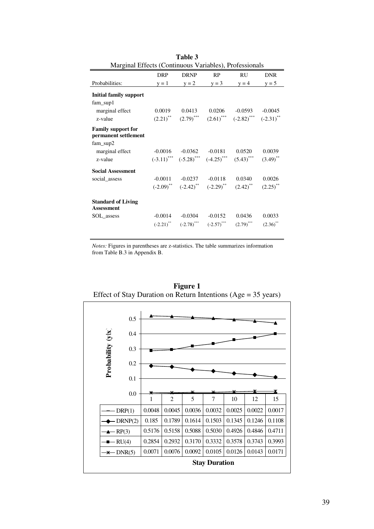| Marginal Effects (Continuous Variables), Professionals |            |                                                                                                   |           |                                                                                                                         |                        |  |  |  |
|--------------------------------------------------------|------------|---------------------------------------------------------------------------------------------------|-----------|-------------------------------------------------------------------------------------------------------------------------|------------------------|--|--|--|
|                                                        | <b>DRP</b> | DRNP                                                                                              | <b>RP</b> | <b>RU</b>                                                                                                               | <b>DNR</b>             |  |  |  |
| Probabilities:                                         |            |                                                                                                   |           | $y = 1$ $y = 2$ $y = 3$ $y = 4$                                                                                         | $y = 5$                |  |  |  |
| <b>Initial family support</b>                          |            |                                                                                                   |           |                                                                                                                         |                        |  |  |  |
| fam_sup1                                               |            |                                                                                                   |           |                                                                                                                         |                        |  |  |  |
| marginal effect                                        |            |                                                                                                   |           | $0.0019$ $0.0413$ $0.0206$ $-0.0593$                                                                                    | $-0.0045$              |  |  |  |
| z-value                                                |            |                                                                                                   |           | $(2.21)$ <sup>**</sup> $(2.79)$ <sup>***</sup> $(2.61)$ <sup>***</sup> $(-2.82)$ <sup>***</sup> $(-2.31)$ <sup>**</sup> |                        |  |  |  |
| <b>Family support for</b><br>permanent settlement      |            |                                                                                                   |           |                                                                                                                         |                        |  |  |  |
| $fam$ _sup2                                            |            |                                                                                                   |           |                                                                                                                         |                        |  |  |  |
| marginal effect                                        |            |                                                                                                   |           | $-0.0016$ $-0.0362$ $-0.0181$ $0.0520$                                                                                  | 0.0039                 |  |  |  |
| z-value                                                |            |                                                                                                   |           | $(-3.11)^{***$ $(-5.28)^{***}$ $(-4.25)^{***}$ $(5.43)^{***}$ $(3.49)^{**}$                                             |                        |  |  |  |
| <b>Social Assessment</b>                               |            |                                                                                                   |           |                                                                                                                         |                        |  |  |  |
| social assess                                          |            | $-0.0011$ $-0.0237$ $-0.0118$                                                                     |           | 0.0340                                                                                                                  | 0.0026                 |  |  |  |
|                                                        |            |                                                                                                   |           | $(-2.09)^{**}$ $(-2.42)^{**}$ $(-2.29)^{**}$ $(2.42)^{**}$                                                              | $(2.25)$ <sup>**</sup> |  |  |  |
| <b>Standard of Living</b><br><b>Assessment</b>         |            |                                                                                                   |           |                                                                                                                         |                        |  |  |  |
| SOL assess                                             |            | $-0.0014$ $-0.0304$ $-0.0152$                                                                     |           | 0.0436                                                                                                                  | 0.0033                 |  |  |  |
|                                                        |            | $(-2.21)$ <sup>**</sup> $(-2.78)$ <sup>***</sup> $(-2.57)$ <sup>***</sup> $(2.79)$ <sup>***</sup> |           |                                                                                                                         | $(2.36)$ **            |  |  |  |

**Table 3**

*Notes:* Figures in parentheses are z-statistics. The table summarizes information from Table B.3 in Appendix B.



**Figure 1** Effect of Stay Duration on Return Intentions (Age = 35 years)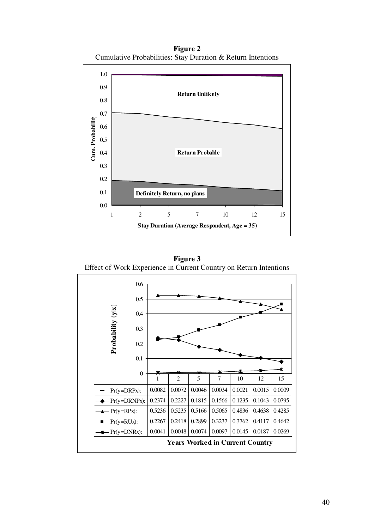**Figure 2** Cumulative Probabilities: Stay Duration & Return Intentions



**Figure 3** Effect of Work Experience in Current Country on Return Intentions

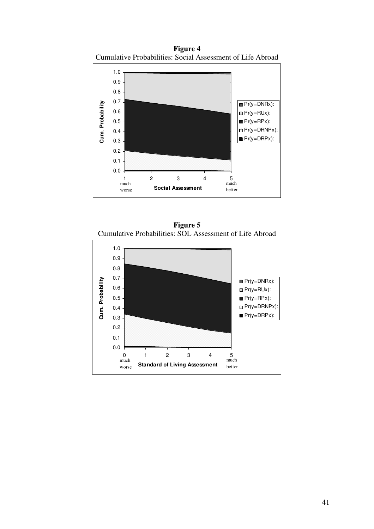**Figure 4** Cumulative Probabilities: Social Assessment of Life Abroad



**Figure 5** Cumulative Probabilities: SOL Assessment of Life Abroad

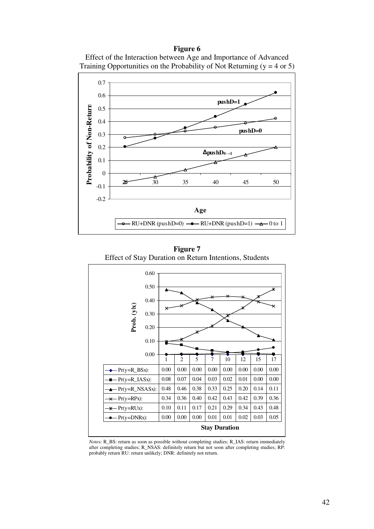# **Figure 6**





**Figure 7** Effect of Stay Duration on Return Intentions, Students



*Note*s: R\_BS: return as soon as possible without completing studies; R\_IAS: return immediately after completing studies; R\_NSAS: definitely return but not soon after completing studies; RP: probably return RU: return unlikely; DNR: definitely not return.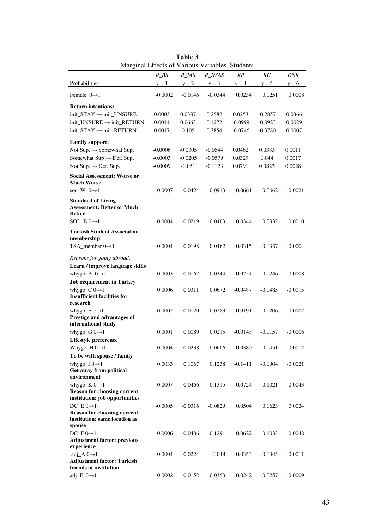| Marginal Effects of Various Variables, Students                                 |           |           |                      |           |           |            |
|---------------------------------------------------------------------------------|-----------|-----------|----------------------|-----------|-----------|------------|
|                                                                                 | $R$ BS    | $R$ IAS   | $R$ <sub>_NSAS</sub> | RP        | RU        | <b>DNR</b> |
| Probabilities:                                                                  | $y = 1$   | $y = 2$   | $y = 3$              | $y = 4$   | $y = 5$   | $y = 6$    |
| Female $0 \rightarrow 1$                                                        | $-0.0002$ | $-0.0146$ | $-0.0344$            | 0.0234    | 0.0251    | 0.0008     |
| <b>Return intentions:</b>                                                       |           |           |                      |           |           |            |
| $init\_STAY \rightarrow init\_UNSURE$                                           | 0.0003    | 0.0387    | 0.2582               | 0.0253    | $-0.2857$ | $-0.0366$  |
| $init$ _UNSURE $\rightarrow$ init_RETURN                                        | 0.0014    | 0.0663    | 0.1272               | $-0.0999$ | $-0.0923$ | $-0.0029$  |
| $init\_STAY \rightarrow init\_RETURN$                                           | 0.0017    | 0.105     | 0.3854               | $-0.0746$ | $-0.3780$ | $-0.0007$  |
| <b>Family support:</b>                                                          |           |           |                      |           |           |            |
| Not Sup. $\rightarrow$ Somewhat Sup.                                            | $-0.0006$ | $-0.0305$ | $-0.0544$            | 0.0462    | 0.0383    | 0.0011     |
| Somewhat $Sup \rightarrow Def.$ Sup.                                            | $-0.0003$ | $-0.0205$ | $-0.0579$            | 0.0329    | 0.044     | 0.0017     |
| Not Sup. $\rightarrow$ Def. Sup.                                                | $-0.0009$ | $-0.051$  | $-0.1123$            | 0.0791    | 0.0823    | 0.0028     |
| <b>Social Assessment: Worse or</b><br><b>Much Worse</b>                         |           |           |                      |           |           |            |
| soc W $0 \rightarrow 1$                                                         | 0.0007    | 0.0424    | 0.0913               | $-0.0661$ | $-0.0662$ | $-0.0021$  |
| <b>Standard of Living</b><br><b>Assessment: Better or Much</b><br><b>Better</b> |           |           |                      |           |           |            |
| SOL $B$ 0 $\rightarrow$ 1                                                       | $-0.0004$ | $-0.0219$ | $-0.0463$            | 0.0344    | 0.0332    | 0.0010     |
| <b>Turkish Student Association</b><br>membership                                |           |           |                      |           |           |            |
| TSA_member $0 \rightarrow 1$                                                    | 0.0004    | 0.0198    | 0.0462               | $-0.0315$ | $-0.0337$ | $-0.0004$  |
| Reasons for going abroad:                                                       |           |           |                      |           |           |            |
| Learn / improve language skills                                                 |           |           |                      |           |           |            |
| whygo_A $0 \rightarrow 1$                                                       | 0.0003    | 0.0162    | 0.0344               | $-0.0254$ | $-0.0246$ | $-0.0008$  |
| <b>Job requirement in Turkey</b>                                                |           |           |                      |           |           |            |
| whygo_C $0 \rightarrow 1$<br><b>Insufficient facilities for</b><br>research     | 0.0006    | 0.0311    | 0.0672               | $-0.0487$ | $-0.0485$ | $-0.0015$  |
| whygo $_F$ 0 $\rightarrow$ 1                                                    | $-0.0002$ | $-0.0120$ | $-0.0283$            | 0.0191    | 0.0206    | 0.0007     |
| Prestige and advantages of<br>international study                               |           |           |                      |           |           |            |
| whygo_G $0 \rightarrow 1$                                                       | 0.0001    | 0.0089    | 0.0215               | $-0.0143$ | $-0.0157$ | $-0.0006$  |
| Lifestyle preference                                                            |           |           |                      |           |           |            |
| Whygo_H $0 \rightarrow 1$                                                       | $-0.0004$ | $-0.0238$ | $-0.0606$            | 0.0380    | 0.0451    | 0.0017     |
| To be with spouse / family                                                      |           |           |                      |           |           |            |
| whygo $_I$ 0 $\rightarrow$ 1<br>Get away from political<br>environment          | 0.0033    | 0.1067    | 0.1238               | $-0.1411$ | $-0.0904$ | $-0.0021$  |
| whygo_K $0 \rightarrow 1$                                                       | $-0.0007$ | $-0.0466$ | $-0.1315$            | 0.0724    | 0.1021    | 0.0043     |
| <b>Reason for choosing current</b>                                              |           |           |                      |           |           |            |
| institution: job opportunities                                                  |           |           |                      |           |           |            |
| $DC_E 0 \rightarrow 1$                                                          | $-0.0005$ | $-0.0316$ | $-0.0829$            | 0.0504    | 0.0623    | 0.0024     |
| <b>Reason for choosing current</b><br>institution: same location as<br>spouse   |           |           |                      |           |           |            |
| DC $F0 \rightarrow 1$                                                           | $-0.0006$ | $-0.0406$ | $-0.1291$            | 0.0622    | 0.1033    | 0.0048     |
| <b>Adjustment factor: previous</b><br>experience                                |           |           |                      |           |           |            |
| adj $\overline{A}$ 0 $\rightarrow$ 1                                            | 0.0004    | 0.0224    | 0.048                | $-0.0353$ | $-0.0345$ | $-0.0011$  |
| <b>Adjustment factor: Turkish</b><br>friends at institution                     |           |           |                      |           |           |            |
| adj $_F$ 0 $\rightarrow$ 1                                                      | 0.0002    | 0.0152    | 0.0353               | $-0.0242$ | $-0.0257$ | $-0.0009$  |

**Table 3** Marginal Effects of Various Variables, Students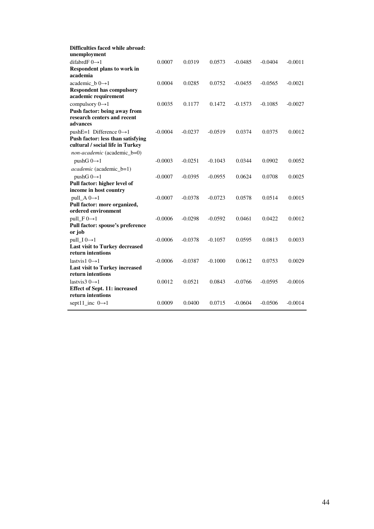| Difficulties faced while abroad:                                                                              |           |           |           |           |           |           |
|---------------------------------------------------------------------------------------------------------------|-----------|-----------|-----------|-----------|-----------|-----------|
| unemployment                                                                                                  |           |           |           |           |           |           |
| difabrd $F$ 0 $\rightarrow$ 1<br>Respondent plans to work in<br>academia                                      | 0.0007    | 0.0319    | 0.0573    | $-0.0485$ | $-0.0404$ | $-0.0011$ |
| academic_b 0→1<br><b>Respondent has compulsory</b><br>academic requirement                                    | 0.0004    | 0.0285    | 0.0752    | $-0.0455$ | $-0.0565$ | $-0.0021$ |
| compulsory $0 \rightarrow 1$<br>Push factor: being away from<br>research centers and recent<br>advances       | 0.0035    | 0.1177    | 0.1472    | $-0.1573$ | $-0.1085$ | $-0.0027$ |
| pushE=1 Difference $0 \rightarrow 1$<br>Push factor: less than satisfying<br>cultural / social life in Turkey | $-0.0004$ | $-0.0237$ | $-0.0519$ | 0.0374    | 0.0375    | 0.0012    |
| non-academic (academic_b=0)                                                                                   |           |           |           |           |           |           |
| pushG $0 \rightarrow 1$                                                                                       | $-0.0003$ | $-0.0251$ | $-0.1043$ | 0.0344    | 0.0902    | 0.0052    |
| <i>academic</i> (academic_b=1)                                                                                |           |           |           |           |           |           |
| pushG $0 \rightarrow 1$<br>Pull factor: higher level of<br>income in host country                             | $-0.0007$ | $-0.0395$ | $-0.0955$ | 0.0624    | 0.0708    | 0.0025    |
| pull_A $0 \rightarrow 1$<br>Pull factor: more organized,<br>ordered environment                               | $-0.0007$ | $-0.0378$ | $-0.0723$ | 0.0578    | 0.0514    | 0.0015    |
| pull_F $0 \rightarrow 1$<br>Pull factor: spouse's preference<br>or job                                        | $-0.0006$ | $-0.0298$ | $-0.0592$ | 0.0461    | 0.0422    | 0.0012    |
| pull $I$ 0 $\rightarrow$ 1<br><b>Last visit to Turkey decreased</b><br>return intentions                      | $-0.0006$ | $-0.0378$ | $-0.1057$ | 0.0595    | 0.0813    | 0.0033    |
| lastvis1 $0 \rightarrow 1$<br>Last visit to Turkey increased<br>return intentions                             | $-0.0006$ | $-0.0387$ | $-0.1000$ | 0.0612    | 0.0753    | 0.0029    |
| lastvis $30 \rightarrow 1$<br><b>Effect of Sept. 11: increased</b><br>return intentions                       | 0.0012    | 0.0521    | 0.0843    | $-0.0766$ | $-0.0595$ | $-0.0016$ |
| sept11_inc $0 \rightarrow 1$                                                                                  | 0.0009    | 0.0400    | 0.0715    | $-0.0604$ | $-0.0506$ | $-0.0014$ |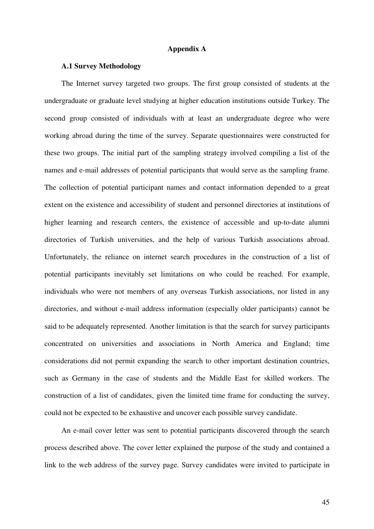#### **Appendix A**

### **A.1 Survey Methodology**

The Internet survey targeted two groups. The first group consisted of students at the undergraduate or graduate level studying at higher education institutions outside Turkey. The second group consisted of individuals with at least an undergraduate degree who were working abroad during the time of the survey. Separate questionnaires were constructed for these two groups. The initial part of the sampling strategy involved compiling a list of the names and e-mail addresses of potential participants that would serve as the sampling frame. The collection of potential participant names and contact information depended to a great extent on the existence and accessibility of student and personnel directories at institutions of higher learning and research centers, the existence of accessible and up-to-date alumni directories of Turkish universities, and the help of various Turkish associations abroad. Unfortunately, the reliance on internet search procedures in the construction of a list of potential participants inevitably set limitations on who could be reached. For example, individuals who were not members of any overseas Turkish associations, nor listed in any directories, and without e-mail address information (especially older participants) cannot be said to be adequately represented. Another limitation is that the search for survey participants concentrated on universities and associations in North America and England; time considerations did not permit expanding the search to other important destination countries, such as Germany in the case of students and the Middle East for skilled workers. The construction of a list of candidates, given the limited time frame for conducting the survey, could not be expected to be exhaustive and uncover each possible survey candidate.

An e-mail cover letter was sent to potential participants discovered through the search process described above. The cover letter explained the purpose of the study and contained a link to the web address of the survey page. Survey candidates were invited to participate in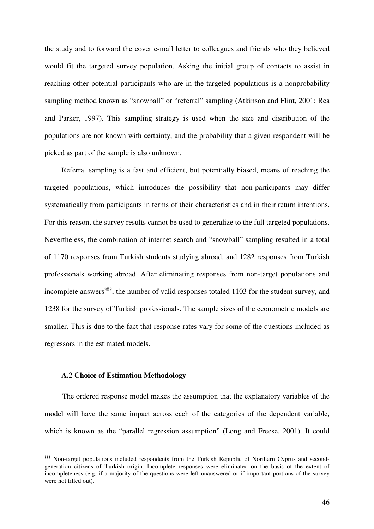the study and to forward the cover e-mail letter to colleagues and friends who they believed would fit the targeted survey population. Asking the initial group of contacts to assist in reaching other potential participants who are in the targeted populations is a nonprobability sampling method known as "snowball" or "referral" sampling (Atkinson and Flint, 2001; Rea and Parker, 1997). This sampling strategy is used when the size and distribution of the populations are not known with certainty, and the probability that a given respondent will be picked as part of the sample is also unknown.

Referral sampling is a fast and efficient, but potentially biased, means of reaching the targeted populations, which introduces the possibility that non-participants may differ systematically from participants in terms of their characteristics and in their return intentions. For this reason, the survey results cannot be used to generalize to the full targeted populations. Nevertheless, the combination of internet search and "snowball" sampling resulted in a total of 1170 responses from Turkish students studying abroad, and 1282 responses from Turkish professionals working abroad. After eliminating responses from non-target populations and incomplete answers §§§ , the number of valid responses totaled 1103 for the student survey, and 1238 for the survey of Turkish professionals. The sample sizes of the econometric models are smaller. This is due to the fact that response rates vary for some of the questions included as regressors in the estimated models.

### **A.2 Choice of Estimation Methodology**

The ordered response model makes the assumption that the explanatory variables of the model will have the same impact across each of the categories of the dependent variable, which is known as the "parallel regression assumption" (Long and Freese, 2001). It could

<sup>§§§§</sup> Non-target populations included respondents from the Turkish Republic of Northern Cyprus and secondgeneration citizens of Turkish origin. Incomplete responses were eliminated on the basis of the extent of incompleteness (e.g. if a majority of the questions were left unanswered or if important portions of the survey were not filled out).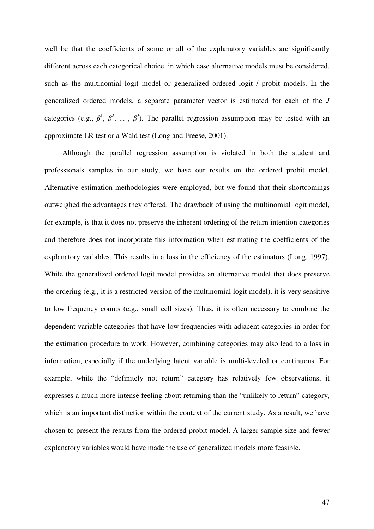well be that the coefficients of some or all of the explanatory variables are significantly different across each categorical choice, in which case alternative models must be considered, such as the multinomial logit model or generalized ordered logit / probit models. In the generalized ordered models, a separate parameter vector is estimated for each of the *J* categories (e.g.,  $\beta^1$ ,  $\beta^2$ , ...,  $\beta^j$ ). The parallel regression assumption may be tested with an approximate LR test or a Wald test (Long and Freese, 2001).

Although the parallel regression assumption is violated in both the student and professionals samples in our study, we base our results on the ordered probit model. Alternative estimation methodologies were employed, but we found that their shortcomings outweighed the advantages they offered. The drawback of using the multinomial logit model, for example, is that it does not preserve the inherent ordering of the return intention categories and therefore does not incorporate this information when estimating the coefficients of the explanatory variables. This results in a loss in the efficiency of the estimators (Long, 1997). While the generalized ordered logit model provides an alternative model that does preserve the ordering (e.g., it is a restricted version of the multinomial logit model), it is very sensitive to low frequency counts (e.g., small cell sizes). Thus, it is often necessary to combine the dependent variable categories that have low frequencies with adjacent categories in order for the estimation procedure to work. However, combining categories may also lead to a loss in information, especially if the underlying latent variable is multi-leveled or continuous. For example, while the "definitely not return" category has relatively few observations, it expresses a much more intense feeling about returning than the "unlikely to return" category, which is an important distinction within the context of the current study. As a result, we have chosen to present the results from the ordered probit model. A larger sample size and fewer explanatory variables would have made the use of generalized models more feasible.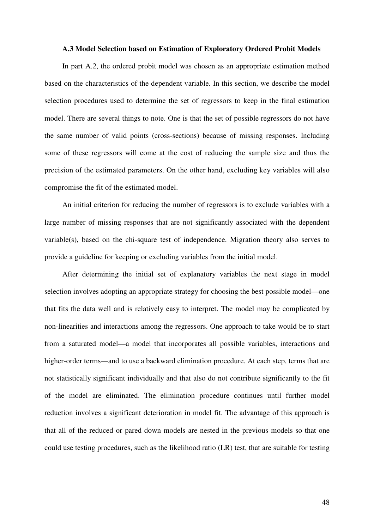#### **A.3 Model Selection based on Estimation of Exploratory Ordered Probit Models**

In part A.2, the ordered probit model was chosen as an appropriate estimation method based on the characteristics of the dependent variable. In this section, we describe the model selection procedures used to determine the set of regressors to keep in the final estimation model. There are several things to note. One is that the set of possible regressors do not have the same number of valid points (cross-sections) because of missing responses. Including some of these regressors will come at the cost of reducing the sample size and thus the precision of the estimated parameters. On the other hand, excluding key variables will also compromise the fit of the estimated model.

An initial criterion for reducing the number of regressors is to exclude variables with a large number of missing responses that are not significantly associated with the dependent variable(s), based on the chi-square test of independence. Migration theory also serves to provide a guideline for keeping or excluding variables from the initial model.

After determining the initial set of explanatory variables the next stage in model selection involves adopting an appropriate strategy for choosing the best possible model—one that fits the data well and is relatively easy to interpret. The model may be complicated by non-linearities and interactions among the regressors. One approach to take would be to start from a saturated model—a model that incorporates all possible variables, interactions and higher-order terms—and to use a backward elimination procedure. At each step, terms that are not statistically significant individually and that also do not contribute significantly to the fit of the model are eliminated. The elimination procedure continues until further model reduction involves a significant deterioration in model fit. The advantage of this approach is that all of the reduced or pared down models are nested in the previous models so that one could use testing procedures, such as the likelihood ratio (LR) test, that are suitable for testing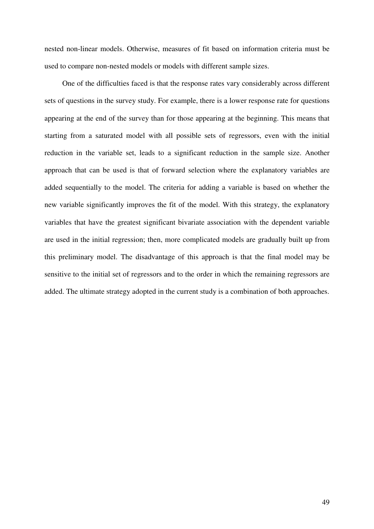nested non-linear models. Otherwise, measures of fit based on information criteria must be used to compare non-nested models or models with different sample sizes.

One of the difficulties faced is that the response rates vary considerably across different sets of questions in the survey study. For example, there is a lower response rate for questions appearing at the end of the survey than for those appearing at the beginning. This means that starting from a saturated model with all possible sets of regressors, even with the initial reduction in the variable set, leads to a significant reduction in the sample size. Another approach that can be used is that of forward selection where the explanatory variables are added sequentially to the model. The criteria for adding a variable is based on whether the new variable significantly improves the fit of the model. With this strategy, the explanatory variables that have the greatest significant bivariate association with the dependent variable are used in the initial regression; then, more complicated models are gradually built up from this preliminary model. The disadvantage of this approach is that the final model may be sensitive to the initial set of regressors and to the order in which the remaining regressors are added. The ultimate strategy adopted in the current study is a combination of both approaches.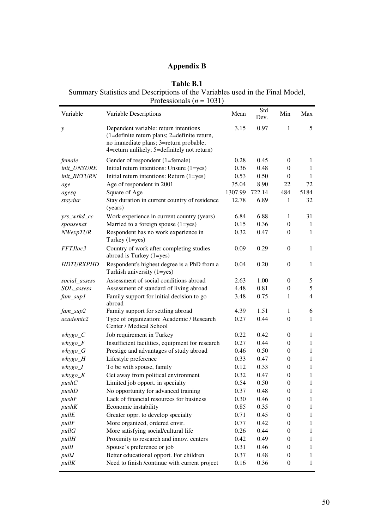# **Appendix B**

# **Table B.1**

### Summary Statistics and Descriptions of the Variables used in the Final Model, Professionals  $(n = 1031)$

| Variable         | Variable Descriptions                                                                                                                                                          | Mean    | Std<br>Dev. | Min              | Max            |
|------------------|--------------------------------------------------------------------------------------------------------------------------------------------------------------------------------|---------|-------------|------------------|----------------|
| y                | Dependent variable: return intentions<br>(1=definite return plans; 2=definite return,<br>no immediate plans; 3=return probable;<br>4=return unlikely; 5=definitely not return) | 3.15    | 0.97        | 1                | 5              |
| female           | Gender of respondent (1=female)                                                                                                                                                | 0.28    | 0.45        | $\overline{0}$   | 1              |
| init_UNSURE      | Initial return intentions: Unsure (1=yes)                                                                                                                                      | 0.36    | 0.48        | $\overline{0}$   | 1              |
| init_RETURN      | Initial return intentions: Return (1=yes)                                                                                                                                      | 0.53    | 0.50        | $\theta$         | $\mathbf{1}$   |
| age              | Age of respondent in 2001                                                                                                                                                      | 35.04   | 8.90        | 22               | 72             |
| agesq            | Square of Age                                                                                                                                                                  | 1307.99 | 722.14      | 484              | 5184           |
| staydur          | Stay duration in current country of residence<br>(years)                                                                                                                       | 12.78   | 6.89        | 1                | 32             |
| yrs_wrkd_cc      | Work experience in current country (years)                                                                                                                                     | 6.84    | 6.88        | $\mathbf{1}$     | 31             |
| spousenat        | Married to a foreign spouse (1=yes)                                                                                                                                            | 0.15    | 0.36        | $\overline{0}$   | $\mathbf{1}$   |
| <b>NWexpTUR</b>  | Respondent has no work experience in<br>Turkey (1=yes)                                                                                                                         | 0.32    | 0.47        | $\overline{0}$   | $\mathbf{1}$   |
| FFTJloc3         | Country of work after completing studies<br>abroad is Turkey (1=yes)                                                                                                           | 0.09    | 0.29        | $\theta$         | $\mathbf{1}$   |
| <b>HDTURXPHD</b> | Respondent's highest degree is a PhD from a<br>Turkish university (1=yes)                                                                                                      | 0.04    | 0.20        | $\theta$         | $\mathbf{1}$   |
| social_assess    | Assessment of social conditions abroad                                                                                                                                         | 2.63    | 1.00        | $\overline{0}$   | 5              |
| SOL_assess       | Assessment of standard of living abroad                                                                                                                                        | 4.48    | 0.81        | $\overline{0}$   | 5              |
| fam_sup1         | Family support for initial decision to go<br>abroad                                                                                                                            | 3.48    | 0.75        | $\mathbf{1}$     | $\overline{4}$ |
| fam_sup2         | Family support for settling abroad                                                                                                                                             | 4.39    | 1.51        | 1                | 6              |
| academic2        | Type of organization: Academic / Research<br>Center / Medical School                                                                                                           | 0.27    | 0.44        | $\theta$         | $\mathbf{1}$   |
| $why go_C$       | Job requirement in Turkey                                                                                                                                                      | 0.22    | 0.42        | $\theta$         | $\mathbf{1}$   |
| $why go_F$       | Insufficient facilities, equipment for research                                                                                                                                | 0.27    | 0.44        | $\theta$         | $\mathbf{1}$   |
| $why go_G$       | Prestige and advantages of study abroad                                                                                                                                        | 0.46    | 0.50        | $\theta$         | $\mathbf{1}$   |
| $why go_H$       | Lifestyle preference                                                                                                                                                           | 0.33    | 0.47        | $\theta$         | 1              |
| $why go_l$       | To be with spouse, family                                                                                                                                                      | 0.12    | 0.33        | $\overline{0}$   | $\mathbf{1}$   |
| $why go_K$       | Get away from political environment                                                                                                                                            | 0.32    | 0.47        | $\theta$         | 1              |
| pushC            | Limited job opport. in specialty                                                                                                                                               | 0.54    | 0.50        | $\theta$         | $\mathbf{1}$   |
| pushD            | No opportunity for advanced training                                                                                                                                           | 0.37    | 0.48        | 0                | 1              |
| pushF            | Lack of financial resources for business                                                                                                                                       | 0.30    | 0.46        | 0                | $\mathbf{1}$   |
| pushK            | Economic instability                                                                                                                                                           | 0.85    | 0.35        | $\boldsymbol{0}$ | $\mathbf{1}$   |
| pullE            | Greater oppr. to develop specialty                                                                                                                                             | 0.71    | 0.45        | $\theta$         | $\mathbf{1}$   |
| pullF            | More organized, ordered envir.                                                                                                                                                 | 0.77    | 0.42        | $\theta$         | 1              |
| pullG            | More satisfying social/cultural life                                                                                                                                           | 0.26    | 0.44        | $\overline{0}$   | 1              |
| pullH            | Proximity to research and innov. centers                                                                                                                                       | 0.42    | 0.49        | $\overline{0}$   | 1              |
| pullI            | Spouse's preference or job                                                                                                                                                     | 0.31    | 0.46        | 0                | 1              |
| pullJ            | Better educational opport. For children                                                                                                                                        | 0.37    | 0.48        | 0                | 1              |
| pullK            | Need to finish /continue with current project                                                                                                                                  | 0.16    | 0.36        | $\overline{0}$   | $\mathbf{1}$   |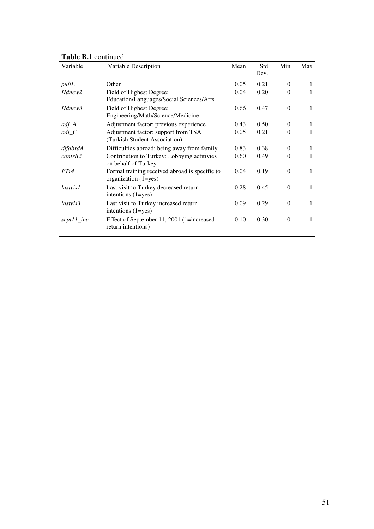| Variable           | Variable Description                                                   | Mean | Std<br>Dev. | Min      | Max |
|--------------------|------------------------------------------------------------------------|------|-------------|----------|-----|
| pullL              | Other                                                                  | 0.05 | 0.21        | $\Omega$ | 1   |
| Hdnew <sub>2</sub> | Field of Highest Degree:<br>Education/Languages/Social Sciences/Arts   | 0.04 | 0.20        | 0        | 1   |
| Hdnew <sub>3</sub> | Field of Highest Degree:<br>Engineering/Math/Science/Medicine          | 0.66 | 0.47        | $\Omega$ | 1   |
| $adj_A$            | Adjustment factor: previous experience                                 | 0.43 | 0.50        | $\Omega$ | 1   |
| $adj_C$            | Adjustment factor: support from TSA<br>(Turkish Student Association)   | 0.05 | 0.21        | 0        | 1   |
| difabrdA           | Difficulties abroad: being away from family                            | 0.83 | 0.38        | $\Omega$ | 1   |
| contrB2            | Contribution to Turkey: Lobbying actitivies<br>on behalf of Turkey     | 0.60 | 0.49        | 0        | 1   |
| FTr4               | Formal training received abroad is specific to<br>organization (1=yes) | 0.04 | 0.19        | $\Omega$ | 1   |
| <i>lastvis1</i>    | Last visit to Turkey decreased return<br>intentions $(1 = yes)$        | 0.28 | 0.45        | $\Omega$ | 1   |
| lastvis3           | Last visit to Turkey increased return<br>intentions $(1 = yes)$        | 0.09 | 0.29        | $\Omega$ | 1   |
| $sept11$ _inc      | Effect of September 11, 2001 (1=increased<br>return intentions)        | 0.10 | 0.30        | $\Omega$ | 1   |

**Table B.1** continued.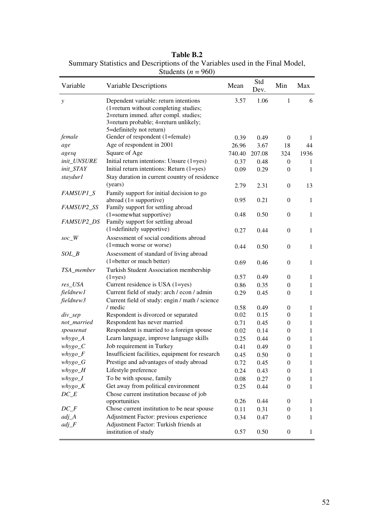| Variable                 | Variable Descriptions                                                                                                                                                                        | Mean   | Std<br>Dev. | Min              | Max          |
|--------------------------|----------------------------------------------------------------------------------------------------------------------------------------------------------------------------------------------|--------|-------------|------------------|--------------|
| $\mathcal{Y}$            | Dependent variable: return intentions<br>(1=return without completing studies;<br>2=return immed. after compl. studies;<br>3=return probable; 4=return unlikely;<br>5=definitely not return) | 3.57   | 1.06        | 1                | 6            |
| female                   | Gender of respondent (1=female)                                                                                                                                                              | 0.39   | 0.49        | $\overline{0}$   | -1           |
| age                      | Age of respondent in 2001                                                                                                                                                                    | 26.96  | 3.67        | 18               | 44           |
| agesq                    | Square of Age                                                                                                                                                                                | 740.40 | 207.08      | 324              | 1936         |
| init_UNSURE              | Initial return intentions: Unsure (1=yes)                                                                                                                                                    | 0.37   | 0.48        | $\theta$         | 1            |
| init_STAY                | Initial return intentions: Return (1=yes)                                                                                                                                                    | 0.09   | 0.29        | $\theta$         | $\mathbf{1}$ |
| staydur1                 | Stay duration in current country of residence                                                                                                                                                |        |             |                  |              |
|                          | (years)                                                                                                                                                                                      | 2.79   | 2.31        | $\mathbf{0}$     | 13           |
| FAMSUP1_S                | Family support for initial decision to go<br>abroad $(1 =$ supportive)                                                                                                                       | 0.95   | 0.21        | $\overline{0}$   | $\mathbf{1}$ |
| FAMSUP2_SS<br>FAMSUP2_DS | Family support for settling abroad<br>(1=somewhat supportive)<br>Family support for settling abroad                                                                                          | 0.48   | 0.50        | $\overline{0}$   | $\mathbf{1}$ |
|                          | (1=definitely supportive)                                                                                                                                                                    | 0.27   | 0.44        | $\overline{0}$   | $\mathbf{1}$ |
| $soc_{W}$                | Assessment of social conditions abroad<br>(1=much worse or worse)                                                                                                                            | 0.44   | 0.50        | $\boldsymbol{0}$ | $\mathbf{1}$ |
| $SOL_B$                  | Assessment of standard of living abroad<br>(1=better or much better)                                                                                                                         | 0.69   | 0.46        | $\boldsymbol{0}$ | $\mathbf{1}$ |
| TSA_member               | Turkish Student Association membership                                                                                                                                                       |        |             |                  |              |
|                          | $(1 = yes)$                                                                                                                                                                                  | 0.57   | 0.49        | $\overline{0}$   | $\mathbf{1}$ |
| $res\_USA$               | Current residence is USA (1=yes)                                                                                                                                                             | 0.86   | 0.35        | 0                | 1            |
| fieldnew1<br>fieldnew3   | Current field of study: arch / econ / admin<br>Current field of study: engin / math / science                                                                                                | 0.29   | 0.45        | $\mathbf{0}$     | $\mathbf{1}$ |
|                          | / medic                                                                                                                                                                                      | 0.58   | 0.49        | $\theta$         | 1            |
| $div\_sep$               | Respondent is divorced or separated                                                                                                                                                          | 0.02   | 0.15        | $\theta$         | 1            |
| not_married              | Respondent has never married                                                                                                                                                                 | 0.71   | 0.45        | $\theta$         | $\mathbf{1}$ |
| spousenat                | Respondent is married to a foreign spouse                                                                                                                                                    | 0.02   | 0.14        | $\theta$         | $\mathbf{1}$ |
| $why go_A$               | Learn language, improve language skills                                                                                                                                                      | 0.25   | 0.44        | $\mathbf{0}$     | $\mathbf{1}$ |
| $why go_C$               | Job requirement in Turkey                                                                                                                                                                    | 0.41   | 0.49        | $\boldsymbol{0}$ | $\mathbf{1}$ |
| $why go_F$               | Insufficient facilities, equipment for research                                                                                                                                              | 0.45   | 0.50        | $\boldsymbol{0}$ | $\mathbf{1}$ |
| $why go_G$               | Prestige and advantages of study abroad                                                                                                                                                      | 0.72   | 0.45        | $\boldsymbol{0}$ | $\mathbf{1}$ |
| whygo_H                  | Lifestyle preference                                                                                                                                                                         | 0.24   | 0.43        | $\boldsymbol{0}$ | $\mathbf{1}$ |
| $why go_l$               | To be with spouse, family                                                                                                                                                                    | 0.08   | 0.27        | $\boldsymbol{0}$ | $\mathbf{1}$ |
| $why go_K$               | Get away from political environment                                                                                                                                                          | 0.25   | 0.44        | 0                | $\mathbf{1}$ |
| $DC\_E$                  | Chose current institution because of job<br>opportunities                                                                                                                                    | 0.26   | 0.44        | $\boldsymbol{0}$ | 1            |
| $DC_F$                   | Chose current institution to be near spouse                                                                                                                                                  | 0.11   | 0.31        | 0                | $\mathbf{1}$ |
| $adj_A$                  | Adjustment Factor: previous experience                                                                                                                                                       | 0.34   | 0.47        | $\boldsymbol{0}$ | $\mathbf{1}$ |
| $adj_F$                  | Adjustment Factor: Turkish friends at                                                                                                                                                        |        |             |                  |              |
|                          | institution of study                                                                                                                                                                         | 0.57   | 0.50        | $\boldsymbol{0}$ | 1            |

**Table B.2** Summary Statistics and Descriptions of the Variables used in the Final Model, Students  $(n = 960)$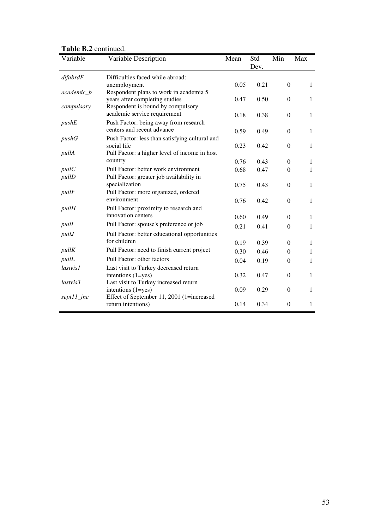| Variable      | Variable Description                                                     | Mean | Std<br>Dev. | Min              | Max          |
|---------------|--------------------------------------------------------------------------|------|-------------|------------------|--------------|
| difabrdF      | Difficulties faced while abroad:<br>unemployment                         | 0.05 | 0.21        | $\theta$         | 1            |
| academic_b    | Respondent plans to work in academia 5<br>years after completing studies | 0.47 | 0.50        | $\Omega$         | $\mathbf{1}$ |
| compulsory    | Respondent is bound by compulsory<br>academic service requirement        | 0.18 | 0.38        | $\theta$         | $\mathbf{1}$ |
| pushE         | Push Factor: being away from research<br>centers and recent advance      | 0.59 | 0.49        | $\boldsymbol{0}$ | $\mathbf{1}$ |
| pushG         | Push Factor: less than satisfying cultural and<br>social life            | 0.23 | 0.42        | $\theta$         | $\mathbf{1}$ |
| pullA         | Pull Factor: a higher level of income in host<br>country                 | 0.76 | 0.43        | $\Omega$         | $\mathbf{1}$ |
| pullC         | Pull Factor: better work environment                                     | 0.68 | 0.47        | $\theta$         | $\mathbf{1}$ |
| pullD         | Pull Factor: greater job availability in<br>specialization               | 0.75 | 0.43        | $\boldsymbol{0}$ | $\mathbf{1}$ |
| pullF         | Pull Factor: more organized, ordered<br>environment                      | 0.76 | 0.42        | $\Omega$         | $\mathbf{1}$ |
| pullH         | Pull Factor: proximity to research and<br>innovation centers             | 0.60 | 0.49        | $\Omega$         | $\mathbf{1}$ |
| pullI         | Pull Factor: spouse's preference or job                                  | 0.21 | 0.41        | $\Omega$         | $\mathbf{1}$ |
| pullJ         | Pull Factor: better educational opportunities                            |      |             |                  |              |
|               | for children                                                             | 0.19 | 0.39        | $\Omega$         | $\mathbf{1}$ |
| pullK         | Pull Factor: need to finish current project                              | 0.30 | 0.46        | $\Omega$         | $\mathbf{1}$ |
| pullL         | Pull Factor: other factors                                               | 0.04 | 0.19        | $\Omega$         | $\mathbf{1}$ |
| lastvis1      | Last visit to Turkey decreased return<br>intentions $(1 = yes)$          | 0.32 | 0.47        | $\boldsymbol{0}$ | $\mathbf{1}$ |
| lastvis3      | Last visit to Turkey increased return<br>intentions $(1 = yes)$          | 0.09 | 0.29        | $\theta$         | $\mathbf{1}$ |
| $sept11$ _inc | Effect of September 11, 2001 (1=increased<br>return intentions)          | 0.14 | 0.34        | $\Omega$         | $\mathbf{1}$ |

# **Table B.2** continued.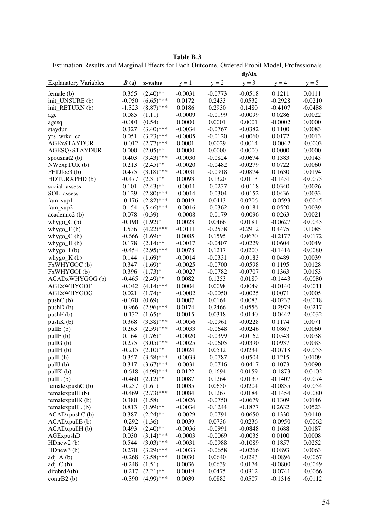| Estimation Results and Marginal Effects for Each Outcome, Ordered Probit Model, Professionals |                      |                     |           |           |           |           |           |
|-----------------------------------------------------------------------------------------------|----------------------|---------------------|-----------|-----------|-----------|-----------|-----------|
|                                                                                               |                      |                     |           |           | dy/dx     |           |           |
| <b>Explanatory Variables</b>                                                                  | $\boldsymbol{B}$ (a) | z-value             | $y = 1$   | $y = 2$   | $y = 3$   | $y = 4$   | $y = 5$   |
| female (b)                                                                                    | 0.355                | $(2.40)$ **         | $-0.0031$ | $-0.0773$ | $-0.0518$ | 0.1211    | 0.0111    |
| init_UNSURE (b)                                                                               | $-0.950$             | $(6.65)$ ***        | 0.0172    | 0.2433    | 0.0532    | $-0.2928$ | $-0.0210$ |
| init_RETURN (b)                                                                               | $-1.323$             | $(8.87)$ ***        | 0.0186    | 0.2930    | 0.1480    | $-0.4107$ | $-0.0488$ |
|                                                                                               | 0.085                |                     |           |           |           |           | 0.0022    |
| age                                                                                           |                      | (1.11)              | $-0.0009$ | $-0.0199$ | $-0.0099$ | 0.0286    |           |
| agesq                                                                                         | $-0.001$             | (0.54)              | 0.0000    | 0.0001    | 0.0001    | $-0.0002$ | 0.0000    |
| staydur                                                                                       | 0.327                | $(3.40)$ ***        | $-0.0034$ | $-0.0767$ | $-0.0382$ | 0.1100    | 0.0083    |
| yrs_wrkd_cc                                                                                   | 0.051                | $(3.23)$ ***        | $-0.0005$ | $-0.0120$ | $-0.0060$ | 0.0172    | 0.0013    |
| <b>AGExSTAYDUR</b>                                                                            | $-0.012$             | $(2.77)$ ***        | 0.0001    | 0.0029    | 0.0014    | $-0.0042$ | $-0.0003$ |
| AGESQxSTAYDUR                                                                                 | 0.000                | $(2.05)$ **         | 0.0000    | 0.0000    | 0.0000    | 0.0000    | 0.0000    |
| spousnat2 (b)                                                                                 | 0.403                | $(3.43)$ ***        | $-0.0030$ | $-0.0824$ | $-0.0674$ | 0.1383    | 0.0145    |
| NWexpTUR (b)                                                                                  | 0.213                | $(2.45)$ **         | $-0.0020$ | $-0.0482$ | $-0.0279$ | 0.0722    | 0.0060    |
| FFTJloc3 (b)                                                                                  | 0.475                | $(3.18)$ ***        | $-0.0031$ | $-0.0918$ | $-0.0874$ | 0.1630    | 0.0194    |
| HDTURXPHD (b)                                                                                 | $-0.477$             | $(2.31)$ **         | 0.0093    | 0.1320    | 0.0113    | $-0.1451$ | $-0.0075$ |
| social_assess                                                                                 | 0.101                | $(2.43)$ **         | $-0.0011$ | $-0.0237$ | $-0.0118$ | 0.0340    | 0.0026    |
| SOL_assess                                                                                    | 0.129                | $(2.80)$ ***        | $-0.0014$ | $-0.0304$ | $-0.0152$ | 0.0436    | 0.0033    |
| fam_sup1                                                                                      | $-0.176$             | $(2.82)$ ***        | 0.0019    | 0.0413    | 0.0206    | $-0.0593$ | $-0.0045$ |
| fam_sup2                                                                                      | 0.154                | $(5.46)$ ***        | $-0.0016$ | $-0.0362$ | $-0.0181$ | 0.0520    | 0.0039    |
| academic2 (b)                                                                                 | 0.078                | (0.39)              | $-0.0008$ | $-0.0179$ | $-0.0096$ | 0.0263    | 0.0021    |
| whygo $_C$ (b)                                                                                | $-0.190$             | $(1.92)^*$          | 0.0023    | 0.0466    | 0.0181    | $-0.0627$ | $-0.0043$ |
| $whygo_F(b)$                                                                                  | 1.536                | $(4.22)$ ***        | $-0.0111$ | $-0.2538$ | $-0.2912$ | 0.4475    | 0.1085    |
| $whygo_G(b)$                                                                                  | $-0.666$             | $(1.69)*$           | 0.0085    | 0.1595    | 0.0670    | $-0.2177$ | $-0.0172$ |
| $whygo_H(b)$                                                                                  | 0.178                | $(2.14)$ **         | $-0.0017$ | $-0.0407$ | $-0.0229$ | 0.0604    | 0.0049    |
| whygo $I(b)$                                                                                  | $-0.454$             | $(2.95)$ ***        | 0.0078    | 0.1217    | 0.0200    | $-0.1416$ | $-0.0080$ |
| whygo $_K$ $(b)$                                                                              | 0.144                | $(1.69)*$           | $-0.0014$ | $-0.0331$ | $-0.0183$ | 0.0489    | 0.0039    |
| FxWHYGOC (b)                                                                                  | 0.347                | $(1.69)^*$          | $-0.0025$ | $-0.0700$ | $-0.0598$ | 0.1195    | 0.0128    |
| FxWHYGOI (b)                                                                                  | 0.396                | $(1.73)*$           | $-0.0027$ | $-0.0782$ | $-0.0707$ | 0.1363    | 0.0153    |
| ACADxWHYGOG (b)                                                                               | $-0.465$             | $(2.49)$ **         | 0.0082    | 0.1253    | 0.0189    | $-0.1443$ | $-0.0080$ |
| <b>AGExWHYGOF</b>                                                                             | $-0.042$             | $(4.14)$ ***        | 0.0004    | 0.0098    | 0.0049    | $-0.0140$ | $-0.0011$ |
| AGExWHYGOG                                                                                    | 0.021                | $(1.74)$ *          | $-0.0002$ | $-0.0050$ | $-0.0025$ | 0.0071    | 0.0005    |
| pushC(b)                                                                                      | $-0.070$             | (0.69)              | 0.0007    | 0.0164    | 0.0083    | $-0.0237$ | $-0.0018$ |
| pushD(b)                                                                                      | $-0.966$             | $(2.96)$ ***        | 0.0174    | 0.2466    | 0.0556    | $-0.2979$ | $-0.0217$ |
| pushF(b)                                                                                      | $-0.132$             | $(1.65)*$           | 0.0015    | 0.0318    | 0.0140    | $-0.0442$ | $-0.0032$ |
| pushK(b)                                                                                      | 0.368                | $(3.38)$ ***        | $-0.0056$ | $-0.0961$ | $-0.0228$ | 0.1174    | 0.0071    |
| pullE (b)                                                                                     | 0.263                | $(2.59)$ ***        | $-0.0033$ | $-0.0648$ | $-0.0246$ | 0.0867    | 0.0060    |
| pullF(b)                                                                                      | 0.164                | $(1.76)^*$          | $-0.0020$ | $-0.0399$ | $-0.0162$ | 0.0543    | 0.0038    |
| pullG (b)                                                                                     |                      | $0.275$ $(3.05)***$ | $-0.0025$ | $-0.0605$ | $-0.0390$ | 0.0937    | 0.0083    |
| pullH (b)                                                                                     | $-0.215$             | $(2.10)$ **         | 0.0024    | 0.0512    | 0.0234    | $-0.0718$ | $-0.0053$ |
| pullI(b)                                                                                      | 0.357                | $(3.58)$ ***        | $-0.0033$ | $-0.0787$ | $-0.0504$ | 0.1215    | 0.0109    |
| pullJ (b)                                                                                     | 0.317                | $(3.67)$ ***        | $-0.0031$ | $-0.0716$ | $-0.0417$ | 0.1073    | 0.0090    |
| pullK(b)                                                                                      | $-0.618$             | $(4.99)$ ***        | 0.0122    | 0.1694    | 0.0159    | $-0.1873$ | $-0.0102$ |
| pullL(b)                                                                                      | $-0.460$             | $(2.12)$ **         | 0.0087    | 0.1264    | 0.0130    | $-0.1407$ | $-0.0074$ |
| femalexpushC (b)                                                                              | $-0.257$             | (1.61)              | 0.0035    | 0.0650    | 0.0204    | $-0.0835$ | $-0.0054$ |
| femalexpullI (b)                                                                              | $-0.469$             | $(2.73)$ ***        | 0.0084    | 0.1267    | 0.0184    | $-0.1454$ | $-0.0080$ |
| femalexpullK (b)                                                                              | 0.380                | (1.58)              | $-0.0026$ | $-0.0750$ | $-0.0679$ | 0.1309    | 0.0146    |
| femalexpullL (b)                                                                              | 0.813                | $(1.99)$ **         | $-0.0034$ | $-0.1244$ | $-0.1877$ | 0.2632    | 0.0523    |
| ACADxpushC (b)                                                                                | 0.387                | $(2.24)$ **         | $-0.0029$ | $-0.0791$ | $-0.0650$ | 0.1330    | 0.0140    |
| ACADxpullE (b)                                                                                | $-0.292$             | (1.36)              | 0.0039    | 0.0736    | 0.0236    | $-0.0950$ | $-0.0062$ |
| ACADxpullH (b)                                                                                | 0.493                | $(2.40)$ **         | $-0.0036$ | $-0.0991$ | $-0.0848$ | 0.1688    | 0.0187    |
| AGExpushD                                                                                     | 0.030                | $(3.14)$ ***        | $-0.0003$ | $-0.0069$ | $-0.0035$ | 0.0100    | 0.0008    |
| HDnew2(b)                                                                                     | 0.544                | $(3.03)$ ***        | $-0.0031$ | $-0.0988$ | $-0.1089$ | 0.1857    | 0.0252    |
| HDnew3(b)                                                                                     | 0.270                | $(3.29)$ ***        | $-0.0033$ | $-0.0658$ | $-0.0266$ | 0.0893    | 0.0063    |
| $adj_A(b)$                                                                                    | $-0.268$             | $(3.58)$ ***        | 0.0030    | 0.0640    | 0.0293    | $-0.0896$ | $-0.0067$ |
| $adj_C(b)$                                                                                    | $-0.248$             | (1.51)              | 0.0036    | 0.0639    | 0.0174    | $-0.0800$ | $-0.0049$ |
| difabrdA(b)                                                                                   | $-0.217$             | $(2.21)$ **         | 0.0019    | 0.0475    | 0.0312    | $-0.0741$ | $-0.0066$ |
| contr $B2(b)$                                                                                 | $-0.390$             | $(4.99)$ ***        | 0.0039    | 0.0882    | 0.0507    | $-0.1316$ | $-0.0112$ |

**Table B.3**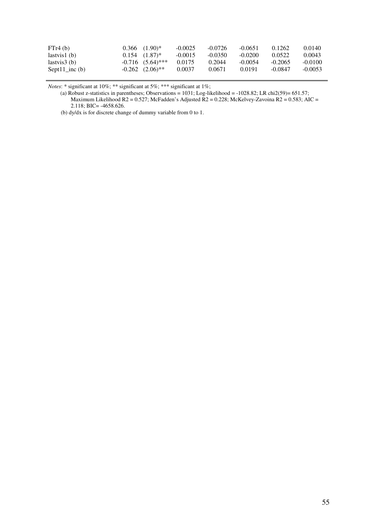| FTr4(b)           | $0.366$ $(1.90)^*$    | $-0.0025$ | $-0.0726$ | $-0.0651$ | 0.1262    | 0.0140    |
|-------------------|-----------------------|-----------|-----------|-----------|-----------|-----------|
| lastvis1(b)       | $0.154$ $(1.87)^*$    | $-0.0015$ | $-0.0350$ | $-0.0200$ | 0.0522    | 0.0043    |
| lastvis $3$ (b)   | $-0.716$ $(5.64)$ *** | 0.0175    | 0.2044    | $-0.0054$ | $-0.2065$ | $-0.0100$ |
| Sept $11$ inc (b) | $-0.262$ $(2.06)$ **  | 0.0037    | 0.0671    | 0.0191    | $-0.0847$ | $-0.0053$ |

*Notes*: \* significant at 10%; \*\* significant at 5%; \*\*\* significant at 1%;

(a) Robust z-statistics in parentheses; Observations = 1031; Log-likelihood = -1028.82; LR chi2(59)= 651.57; Maximum Likelihood R2 = 0.527; McFadden's Adjusted R2 = 0.228; McKelvey-Zavoina R2 = 0.583; AIC = 2.118; BIC= -4658.626.

(b) dy/dx is for discrete change of dummy variable from 0 to 1.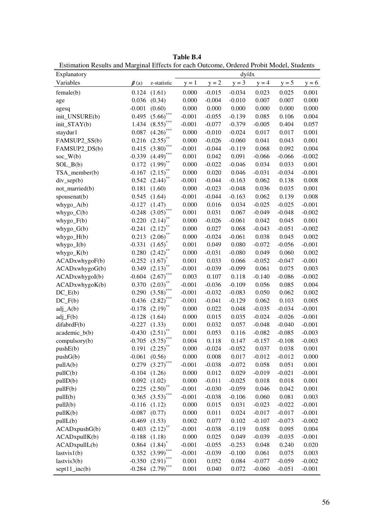| Estimation Results and Marginal Effects for each Outcome, Ordered Probit Model, Students |             |                                         |          |          |          |          |          |          |
|------------------------------------------------------------------------------------------|-------------|-----------------------------------------|----------|----------|----------|----------|----------|----------|
| Explanatory                                                                              |             |                                         |          |          | dy/dx    |          |          |          |
| Variables                                                                                | $\beta$ (a) | z-statistic                             | $y = 1$  | $y = 2$  | $y = 3$  | $y = 4$  | $y = 5$  | $y = 6$  |
| female(b)                                                                                | 0.124       | (1.61)                                  | 0.000    | $-0.015$ | $-0.034$ | 0.023    | 0.025    | 0.001    |
| age                                                                                      | 0.036       | (0.34)                                  | 0.000    | $-0.004$ | $-0.010$ | 0.007    | 0.007    | 0.000    |
| agesq                                                                                    | $-0.001$    | (0.60)                                  | 0.000    | 0.000    | 0.000    | 0.000    | 0.000    | 0.000    |
| init_UNSURE(b)                                                                           | 0.495       | ***<br>(5.66)                           | $-0.001$ | $-0.055$ | $-0.139$ | 0.085    | 0.106    | 0.004    |
| init_STAY(b)                                                                             | 1.434       | $(.8.55)$ ***                           | $-0.001$ | $-0.077$ | $-0.379$ | $-0.005$ | 0.404    | 0.057    |
| staydur1                                                                                 | 0.087       | $(4.26)$ ***                            | 0.000    | $-0.010$ | $-0.024$ | 0.017    | 0.017    | 0.001    |
| FAMSUP2_SS(b)                                                                            | 0.216       | $(2.55)$ <sup>**</sup>                  | 0.000    | $-0.026$ | $-0.060$ | 0.041    | 0.043    | 0.001    |
| FAMSUP2_DS(b)                                                                            | 0.415       | (3.80)                                  | $-0.001$ | $-0.044$ | $-0.119$ | 0.068    | 0.092    | 0.004    |
| $soc_W(b)$                                                                               | $-0.339$    | (4.49)                                  | 0.001    | 0.042    | 0.091    | $-0.066$ | $-0.066$ | $-0.002$ |
| $SOL_B(b)$                                                                               | 0.172       | $(1.99)$ <sup>**</sup>                  | 0.000    | $-0.022$ | $-0.046$ | 0.034    | 0.033    | 0.001    |
| TSA_member(b)                                                                            | $-0.167$    | $(2.15)$ <sup>**</sup>                  | 0.000    | 0.020    | 0.046    | $-0.031$ | $-0.034$ | $-0.001$ |
| $div\_sep(b)$                                                                            | 0.542       | $(2.44)$ <sup>**</sup>                  | $-0.001$ | $-0.044$ | $-0.163$ | 0.062    | 0.138    | 0.008    |
| not_married(b)                                                                           | 0.181       | (1.60)                                  | 0.000    | $-0.023$ | $-0.048$ | 0.036    | 0.035    | 0.001    |
| spousenat(b)                                                                             | 0.545       | (1.64)                                  | $-0.001$ | $-0.044$ | $-0.163$ | 0.062    | 0.139    | 0.008    |
| $whygo_A(b)$                                                                             | $-0.127$    | (1.47)                                  | 0.000    | 0.016    | 0.034    | $-0.025$ | $-0.025$ | $-0.001$ |
| $whygo_C(b)$                                                                             | $-0.248$    | (3.05)                                  | 0.001    | 0.031    | 0.067    | $-0.049$ | $-0.048$ | $-0.002$ |
| $whygo_F(b)$                                                                             | 0.220       | (2.14)                                  | 0.000    | $-0.026$ | $-0.061$ | 0.042    | 0.045    | 0.001    |
| $why go_G(b)$                                                                            | $-0.241$    | (2.12)                                  | 0.000    | 0.027    | 0.068    | $-0.043$ | $-0.051$ | $-0.002$ |
| whygo_H(b)                                                                               | 0.213       | $(2.06)$ **                             | 0.000    | $-0.024$ | $-0.061$ | 0.038    | 0.045    | 0.002    |
| $why go_I(b)$                                                                            | $-0.331$    | $(1.65)^{*}$                            | 0.001    | 0.049    | 0.080    | $-0.072$ | $-0.056$ | $-0.001$ |
| $whygo_K(b)$                                                                             | 0.280       | (2.42)                                  | 0.000    | $-0.031$ | $-0.080$ | 0.049    | 0.060    | 0.002    |
| ACADxwhygoF(b)                                                                           | $-0.252$    | (1.67)                                  | 0.001    | 0.033    | 0.066    | $-0.052$ | $-0.047$ | $-0.001$ |
| ACADxwhygoG(b)                                                                           | 0.349       | $(2.13)$ <sup>**</sup>                  | $-0.001$ | $-0.039$ | $-0.099$ | 0.061    | 0.075    | 0.003    |
| ACADxwhygoI(b)                                                                           | $-0.604$    | (2.67)                                  | 0.003    | 0.107    | 0.118    | $-0.140$ | $-0.086$ | $-0.002$ |
| ACADxwhygoK(b)                                                                           | 0.370       | (2.03)                                  | $-0.001$ | $-0.036$ | $-0.109$ | 0.056    | 0.085    | 0.004    |
| $DC$ $E(b)$                                                                              | 0.290       | (3.58)                                  | $-0.001$ | $-0.032$ | $-0.083$ | 0.050    | 0.062    | 0.002    |
| $DC$ $F(b)$                                                                              | 0.436       | $(2.82)$ <sup>***</sup>                 | $-0.001$ | $-0.041$ | $-0.129$ | 0.062    | 0.103    | 0.005    |
| $adj_A(b)$                                                                               | $-0.178$    | $(2.19)$ <sup>**</sup>                  | 0.000    | 0.022    | 0.048    | $-0.035$ | $-0.034$ | $-0.001$ |
| $adj_F(b)$                                                                               | $-0.128$    | (1.64)                                  | 0.000    | 0.015    | 0.035    | $-0.024$ | $-0.026$ | $-0.001$ |
| difabrdF(b)                                                                              | $-0.227$    | (1.33)                                  | 0.001    | 0.032    | 0.057    | $-0.048$ | $-0.040$ | $-0.001$ |
| academic_b(b)                                                                            | $-0.430$    | $(2.51)$ <sup>**</sup>                  | 0.001    | 0.053    | 0.116    | $-0.082$ | $-0.085$ | $-0.003$ |
| compulsory(b)                                                                            |             | $-0.705$ $(5.75)$ <sup>***</sup>        | 0.004    | 0.118    | 0.147    | $-0.157$ | $-0.108$ | $-0.003$ |
| pushE(b)                                                                                 | 0.191       | $(2.25)$ **                             | 0.000    | $-0.024$ | $-0.052$ | 0.037    | 0.038    | 0.001    |
| pushG(b)                                                                                 | $-0.061$    | (0.56)                                  | 0.000    | 0.008    | 0.017    | $-0.012$ | $-0.012$ | 0.000    |
| pullA(b)                                                                                 | 0.279       | $\left( 3.27\right) ^{\ast \ast \ast }$ | $-0.001$ | $-0.038$ | $-0.072$ | 0.058    | 0.051    | 0.001    |
| pullC(b)                                                                                 | $-0.104$    | (1.26)                                  | 0.000    | 0.012    | 0.029    | $-0.019$ | $-0.021$ | $-0.001$ |
| pullD(b)                                                                                 | 0.092       | (1.02)                                  | 0.000    | $-0.011$ | $-0.025$ | 0.018    | 0.018    | 0.001    |
| pullF(b)                                                                                 | 0.225       | $(2.50)$ <sup>**</sup>                  | $-0.001$ | $-0.030$ | $-0.059$ | 0.046    | 0.042    | 0.001    |
| pullI(b)                                                                                 | 0.365       | $(3.53)$ <sup>***</sup>                 | $-0.001$ | $-0.038$ | $-0.106$ | 0.060    | 0.081    | 0.003    |
| pullJ(b)                                                                                 | $-0.116$    | (1.12)                                  | 0.000    | 0.015    | 0.031    | $-0.023$ | $-0.022$ | $-0.001$ |
| pullK(b)                                                                                 | $-0.087$    | (0.77)                                  | 0.000    | 0.011    | 0.024    | $-0.017$ | $-0.017$ | $-0.001$ |
| pullL(b)                                                                                 | $-0.469$    | (1.53)                                  | 0.002    | 0.077    | 0.102    | $-0.107$ | $-0.073$ | $-0.002$ |
| ACADxpushG(b)                                                                            | 0.403       | $(2.12)$ <sup>**</sup>                  | $-0.001$ | $-0.038$ | $-0.119$ | 0.058    | 0.095    | 0.004    |
| ACADxpullK(b)                                                                            | $-0.188$    | (1.18)                                  | 0.000    | 0.025    | 0.049    | $-0.039$ | $-0.035$ | $-0.001$ |
| ACADxpullL(b)                                                                            | 0.864       | $(1.84)$ <sup>*</sup>                   | $-0.001$ | $-0.055$ | $-0.253$ | 0.048    | 0.240    | 0.020    |
| lastvis1(b)                                                                              | 0.352       | $(3.99)$ ***                            | $-0.001$ | $-0.039$ | $-0.100$ | 0.061    | 0.075    | 0.003    |
| lastvis3(b)                                                                              | $-0.350$    | $(2.91)$ ***                            | 0.001    | 0.052    | 0.084    | $-0.077$ | $-0.059$ | $-0.002$ |
| $sept11\_inc(b)$                                                                         | $-0.284$    | $(2.79)$ ***                            | 0.001    | 0.040    | 0.072    | $-0.060$ | $-0.051$ | $-0.001$ |

**Table B.4**